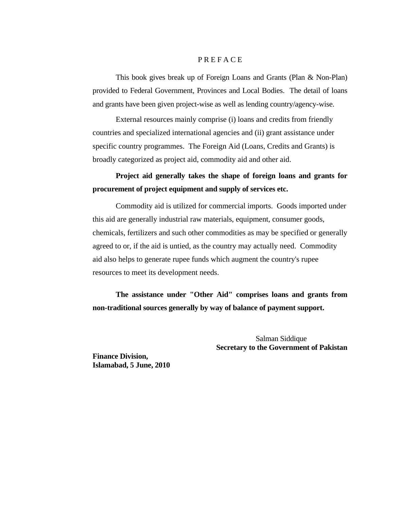### P R E F A C E

This book gives break up of Foreign Loans and Grants (Plan & Non-Plan) provided to Federal Government, Provinces and Local Bodies. The detail of loans and grants have been given project-wise as well as lending country/agency-wise.

 External resources mainly comprise (i) loans and credits from friendly countries and specialized international agencies and (ii) grant assistance under specific country programmes. The Foreign Aid (Loans, Credits and Grants) is broadly categorized as project aid, commodity aid and other aid.

# **Project aid generally takes the shape of foreign loans and grants for procurement of project equipment and supply of services etc.**

 Commodity aid is utilized for commercial imports. Goods imported under this aid are generally industrial raw materials, equipment, consumer goods, chemicals, fertilizers and such other commodities as may be specified or generally agreed to or, if the aid is untied, as the country may actually need. Commodity aid also helps to generate rupee funds which augment the country's rupee resources to meet its development needs.

 **The assistance under "Other Aid" comprises loans and grants from non-traditional sources generally by way of balance of payment support.** 

> Salman Siddique  **Secretary to the Government of Pakistan**

**Finance Division, Islamabad, 5 June, 2010**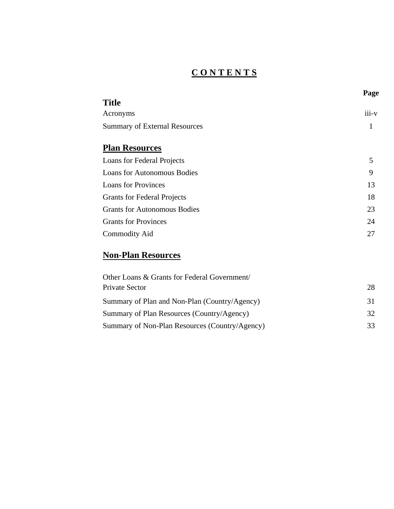# **C O N T E N T S**

|                                      | Page  |
|--------------------------------------|-------|
| <b>Title</b>                         |       |
| Acronyms                             | iii-v |
| <b>Summary of External Resources</b> | 1     |
|                                      |       |
| <b>Plan Resources</b>                |       |
| Loans for Federal Projects           | 5     |
| <b>Loans for Autonomous Bodies</b>   | 9     |
| <b>Loans for Provinces</b>           | 13    |
| <b>Grants for Federal Projects</b>   | 18    |
| <b>Grants for Autonomous Bodies</b>  | 23    |
| <b>Grants for Provinces</b>          | 24    |
| <b>Commodity Aid</b>                 | 27    |
|                                      |       |

# **Non-Plan Resources**

| Other Loans & Grants for Federal Government/   |     |
|------------------------------------------------|-----|
| Private Sector                                 | 28  |
| Summary of Plan and Non-Plan (Country/Agency)  | 31. |
| Summary of Plan Resources (Country/Agency)     | 32. |
| Summary of Non-Plan Resources (Country/Agency) | 33  |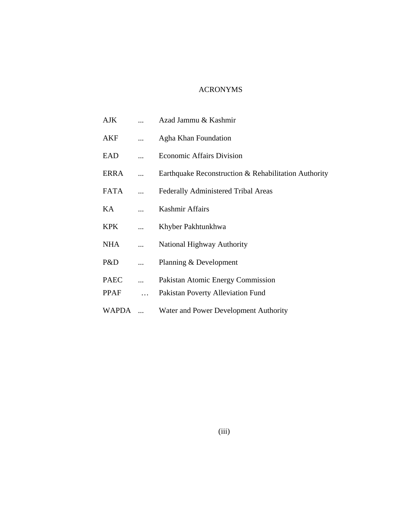## ACRONYMS

| <b>AJK</b>  | Azad Jammu & Kashmir                                 |
|-------------|------------------------------------------------------|
| AKF         | Agha Khan Foundation                                 |
| EAD         | <b>Economic Affairs Division</b>                     |
| ERRA        | Earthquake Reconstruction & Rehabilitation Authority |
| FATA        | <b>Federally Administered Tribal Areas</b>           |
| KA          | Kashmir Affairs                                      |
| <b>KPK</b>  | Khyber Pakhtunkhwa                                   |
| <b>NHA</b>  | <b>National Highway Authority</b>                    |
| P&D         | Planning & Development                               |
| <b>PAEC</b> | Pakistan Atomic Energy Commission                    |
| PPAF        | Pakistan Poverty Alleviation Fund                    |
| WAPDA       | Water and Power Development Authority                |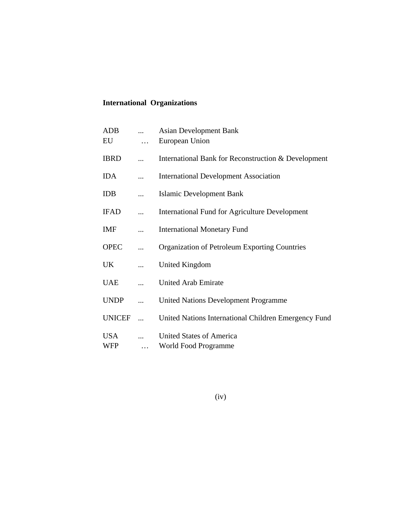# **International Organizations**

| <b>ADB</b><br>EU  |           | <b>Asian Development Bank</b><br>European Union       |
|-------------------|-----------|-------------------------------------------------------|
| <b>IBRD</b>       |           | International Bank for Reconstruction & Development   |
| <b>IDA</b>        |           | <b>International Development Association</b>          |
| IDB               |           | Islamic Development Bank                              |
| <b>IFAD</b>       |           | <b>International Fund for Agriculture Development</b> |
| IMF               |           | <b>International Monetary Fund</b>                    |
| <b>OPEC</b>       |           | Organization of Petroleum Exporting Countries         |
| UK                |           | United Kingdom                                        |
| <b>UAE</b>        |           | <b>United Arab Emirate</b>                            |
| <b>UNDP</b>       |           | <b>United Nations Development Programme</b>           |
| <b>UNICEF</b>     | $\ddotsc$ | United Nations International Children Emergency Fund  |
| <b>USA</b><br>WFP |           | United States of America<br>World Food Programme      |

(iv)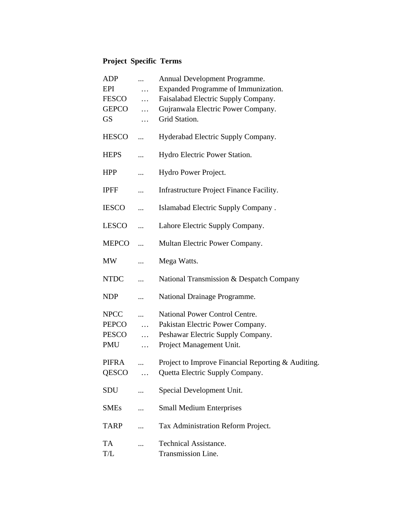# **Project Specific Terms**

| <b>ADP</b>   |            | Annual Development Programme.                      |
|--------------|------------|----------------------------------------------------|
| EPI          | .          | Expanded Programme of Immunization.                |
| FESCO        | .          | Faisalabad Electric Supply Company.                |
| <b>GEPCO</b> | $\cdots$   | Gujranwala Electric Power Company.                 |
| <b>GS</b>    | .          | Grid Station.                                      |
| <b>HESCO</b> |            | Hyderabad Electric Supply Company.                 |
| <b>HEPS</b>  |            | Hydro Electric Power Station.                      |
| <b>HPP</b>   |            | Hydro Power Project.                               |
| <b>IPFF</b>  |            | Infrastructure Project Finance Facility.           |
| <b>IESCO</b> |            | Islamabad Electric Supply Company.                 |
| LESCO        | .          | Lahore Electric Supply Company.                    |
| <b>MEPCO</b> |            | Multan Electric Power Company.                     |
| <b>MW</b>    |            | Mega Watts.                                        |
| <b>NTDC</b>  |            | National Transmission & Despatch Company           |
| <b>NDP</b>   |            | National Drainage Programme.                       |
| <b>NPCC</b>  |            | <b>National Power Control Centre.</b>              |
| PEPCO        | $\dddotsc$ | Pakistan Electric Power Company.                   |
| <b>PESCO</b> | .          | Peshawar Electric Supply Company.                  |
| <b>PMU</b>   | .          | Project Management Unit.                           |
| PIFRA        |            | Project to Improve Financial Reporting & Auditing. |
| QESCO        |            | Quetta Electric Supply Company.                    |
|              | $\cdots$   |                                                    |
| SDU          |            | Special Development Unit.                          |
| <b>SMEs</b>  |            | <b>Small Medium Enterprises</b>                    |
| <b>TARP</b>  |            | Tax Administration Reform Project.                 |
| <b>TA</b>    |            | <b>Technical Assistance.</b>                       |
| T/L          |            | Transmission Line.                                 |
|              |            |                                                    |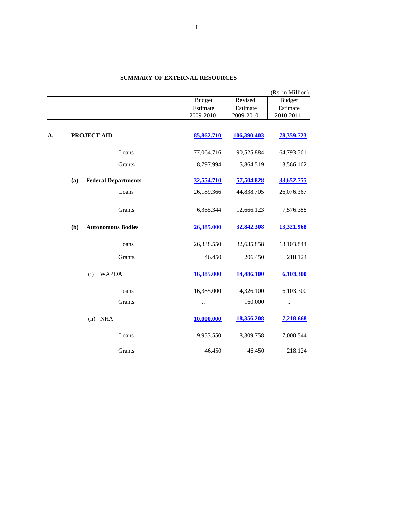|    |                                   |               |             | (Rs. in Million) |
|----|-----------------------------------|---------------|-------------|------------------|
|    |                                   | <b>Budget</b> | Revised     | <b>Budget</b>    |
|    |                                   | Estimate      | Estimate    | Estimate         |
|    |                                   | 2009-2010     | 2009-2010   | 2010-2011        |
|    |                                   |               |             |                  |
| A. | PROJECT AID                       | 85,862.710    | 106,390.403 | 78,359.723       |
|    |                                   |               |             |                  |
|    | Loans                             | 77,064.716    | 90,525.884  | 64,793.561       |
|    | Grants                            | 8,797.994     | 15,864.519  | 13,566.162       |
|    | <b>Federal Departments</b><br>(a) | 32,554.710    | 57,504.828  | 33,652.755       |
|    | Loans                             | 26,189.366    | 44,838.705  | 26,076.367       |
|    | Grants                            | 6,365.344     | 12,666.123  | 7,576.388        |
|    | (b)<br><b>Autonomous Bodies</b>   | 26,385.000    | 32,842.308  | 13,321.968       |
|    | Loans                             | 26,338.550    | 32,635.858  | 13,103.844       |
|    | Grants                            | 46.450        | 206.450     | 218.124          |
|    | (i)<br><b>WAPDA</b>               | 16,385.000    | 14,486.100  | 6,103.300        |
|    | Loans                             | 16,385.000    | 14,326.100  | 6,103.300        |
|    | Grants                            |               | 160.000     |                  |
|    | <b>NHA</b><br>(ii)                | 10,000.000    | 18,356.208  | 7,218.668        |
|    | Loans                             | 9,953.550     | 18,309.758  | 7,000.544        |
|    | Grants                            | 46.450        | 46.450      | 218.124          |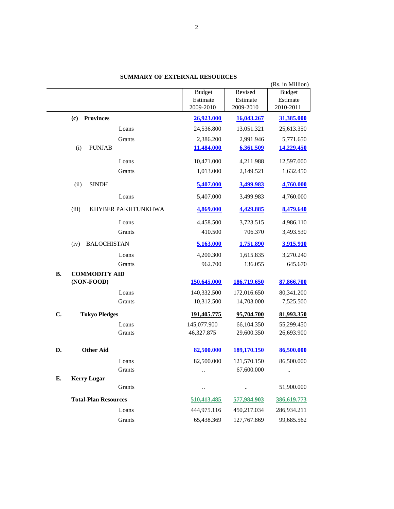|           |                             |               |             | (Rs. in Million) |
|-----------|-----------------------------|---------------|-------------|------------------|
|           |                             | <b>Budget</b> | Revised     | <b>Budget</b>    |
|           |                             | Estimate      | Estimate    | Estimate         |
|           |                             | 2009-2010     | 2009-2010   | 2010-2011        |
|           | <b>Provinces</b><br>(c)     | 26,923.000    | 16,043.267  | 31,385.000       |
|           | Loans                       | 24,536.800    | 13,051.321  | 25,613.350       |
|           | Grants                      | 2,386.200     | 2,991.946   | 5,771.650        |
|           | <b>PUNJAB</b><br>(i)        | 11,484.000    | 6,361.509   | 14,229.450       |
|           | Loans                       | 10,471.000    | 4,211.988   | 12,597.000       |
|           | Grants                      | 1,013.000     | 2,149.521   | 1,632.450        |
|           | <b>SINDH</b><br>(ii)        | 5,407.000     | 3,499.983   | 4,760.000        |
|           | Loans                       | 5,407.000     | 3,499.983   | 4,760.000        |
|           | KHYBER PAKHTUNKHWA<br>(iii) | 4,869.000     | 4,429.885   | 8,479.640        |
|           | Loans                       | 4,458.500     | 3,723.515   | 4,986.110        |
|           | Grants                      | 410.500       | 706.370     | 3,493.530        |
|           | <b>BALOCHISTAN</b><br>(iv)  | 5,163.000     | 1,751.890   | 3,915.910        |
|           | Loans                       | 4,200.300     | 1,615.835   | 3,270.240        |
|           | Grants                      | 962.700       | 136.055     | 645.670          |
| <b>B.</b> | <b>COMMODITY AID</b>        |               |             |                  |
|           | (NON-FOOD)                  | 150,645.000   | 186,719.650 | 87,866.700       |
|           | Loans                       | 140,332.500   | 172,016.650 | 80,341.200       |
|           | Grants                      | 10,312.500    | 14,703.000  | 7,525.500        |
| C.        | <b>Tokyo Pledges</b>        | 191,405.775   | 95,704.700  | 81,993.350       |
|           | Loans                       | 145,077.900   | 66,104.350  | 55,299.450       |
|           | Grants                      | 46,327.875    | 29,600.350  | 26,693.900       |
| D.        | <b>Other Aid</b>            | 82,500.000    | 189,170.150 | 86,500.000       |
|           | Loans                       | 82,500.000    | 121,570.150 | 86,500.000       |
|           | Grants                      |               | 67,600.000  |                  |
| Е.        | <b>Kerry Lugar</b>          |               |             |                  |
|           | Grants                      | $\ddotsc$     | $\ldots$    | 51,900.000       |
|           | <b>Total-Plan Resources</b> | 510,413.485   | 577,984.903 | 386,619.773      |
|           | Loans                       | 444,975.116   | 450,217.034 | 286,934.211      |
|           | Grants                      | 65,438.369    | 127,767.869 | 99,685.562       |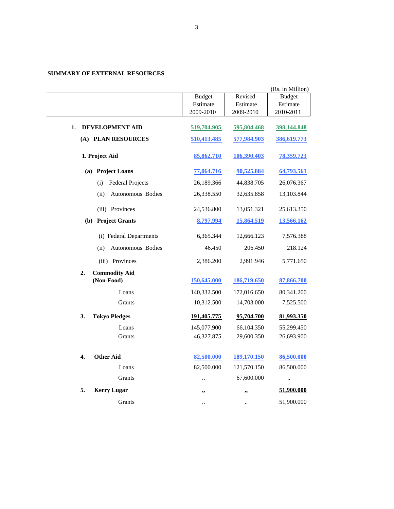|                                          |                      |                      | (Rs. in Million) |
|------------------------------------------|----------------------|----------------------|------------------|
|                                          | <b>Budget</b>        | Revised              | <b>Budget</b>    |
|                                          | Estimate             | Estimate             | Estimate         |
|                                          | 2009-2010            | 2009-2010            | 2010-2011        |
| DEVELOPMENT AID<br>1.                    | 519,704.905          | 595,804.468          | 398,144.848      |
| (A) PLAN RESOURCES                       | 510,413.485          | 577,984.903          | 386,619.773      |
| 1. Project Aid                           | 85,862.710           | 106,390.403          | 78,359.723       |
| (a) Project Loans                        | 77,064.716           | 90,525.884           | 64,793.561       |
| <b>Federal Projects</b><br>(i)           | 26,189.366           | 44,838.705           | 26,076.367       |
| (ii)<br>Autonomous Bodies                | 26,338.550           | 32,635.858           | 13,103.844       |
| (iii) Provinces                          | 24,536.800           | 13,051.321           | 25,613.350       |
| (b) Project Grants                       | 8,797.994            | 15,864.519           | 13,566.162       |
| (i) Federal Departments                  | 6,365.344            | 12,666.123           | 7,576.388        |
| Autonomous Bodies<br>(ii)                | 46.450               | 206.450              | 218.124          |
| (iii) Provinces                          | 2,386.200            | 2,991.946            | 5,771.650        |
| 2.<br><b>Commodity Aid</b><br>(Non-Food) | 150,645.000          | 186,719.650          | 87,866.700       |
| Loans                                    | 140,332.500          | 172,016.650          | 80,341.200       |
| Grants                                   | 10,312.500           | 14,703.000           | 7,525.500        |
|                                          |                      |                      |                  |
| 3.<br><b>Tokyo Pledges</b>               | 191,405.775          | 95,704.700           | 81,993.350       |
| Loans                                    | 145,077.900          | 66,104.350           | 55,299.450       |
| Grants                                   | 46,327.875           | 29,600.350           | 26,693.900       |
|                                          |                      |                      |                  |
| 4.<br><b>Other Aid</b>                   | 82,500.000           | 189,170.150          | 86,500.000       |
| Loans                                    | 82,500.000           | 121,570.150          | 86,500.000       |
| Grants                                   |                      | 67,600.000           | $\ddotsc$        |
| 5.<br><b>Kerry Lugar</b>                 | ≃                    | ≝                    | 51,900.000       |
| Grants                                   | $\ddot{\phantom{a}}$ | $\ddot{\phantom{a}}$ | 51,900.000       |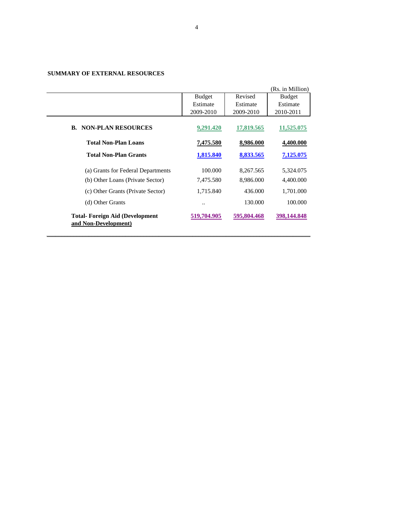|                                                               |               |             | (Rs. in Million) |
|---------------------------------------------------------------|---------------|-------------|------------------|
|                                                               | <b>Budget</b> | Revised     | <b>Budget</b>    |
|                                                               | Estimate      | Estimate    | Estimate         |
|                                                               | 2009-2010     | 2009-2010   | 2010-2011        |
| <b>B. NON-PLAN RESOURCES</b>                                  | 9,291.420     | 17,819.565  | 11,525,075       |
| <b>Total Non-Plan Loans</b>                                   | 7,475.580     | 8,986.000   | 4,400.000        |
| <b>Total Non-Plan Grants</b>                                  | 1,815.840     | 8,833.565   | 7,125,075        |
| (a) Grants for Federal Departments                            | 100,000       | 8,267.565   | 5,324.075        |
| (b) Other Loans (Private Sector)                              | 7,475.580     | 8,986.000   | 4,400.000        |
| (c) Other Grants (Private Sector)                             | 1,715.840     | 436.000     | 1,701.000        |
| (d) Other Grants                                              |               | 130.000     | 100,000          |
| <b>Total-Foreign Aid (Development</b><br>and Non-Development) | 519,704.905   | 595,804.468 | 398,144.848      |

\_\_\_\_\_\_\_\_\_\_\_\_\_\_\_\_\_\_\_\_\_\_\_\_\_\_\_\_\_\_\_\_\_\_\_\_\_\_\_\_\_\_\_\_\_\_\_\_\_\_\_\_\_\_\_\_\_\_\_\_\_\_\_\_\_\_\_\_\_\_\_\_\_\_\_\_\_\_\_\_\_\_\_\_\_\_\_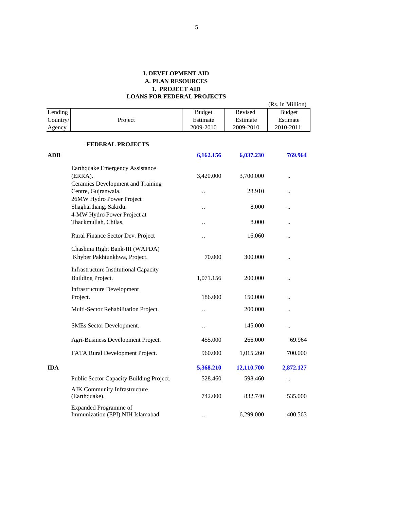|            |                                                                                  |                      |            | (Rs. in Million)     |
|------------|----------------------------------------------------------------------------------|----------------------|------------|----------------------|
| Lending    |                                                                                  | <b>Budget</b>        | Revised    | <b>Budget</b>        |
| Country/   | Project                                                                          | Estimate             | Estimate   | Estimate             |
| Agency     |                                                                                  | 2009-2010            | 2009-2010  | 2010-2011            |
|            | <b>FEDERAL PROJECTS</b>                                                          |                      |            |                      |
| <b>ADB</b> |                                                                                  | 6,162.156            | 6,037.230  | 769.964              |
|            | Earthquake Emergency Assistance<br>(ERRA).<br>Ceramics Development and Training  | 3,420.000            | 3,700.000  |                      |
|            | Centre, Gujranwala.                                                              | $\ddot{\phantom{a}}$ | 28.910     | $\ddot{\phantom{a}}$ |
|            | 26MW Hydro Power Project<br>Shagharthang, Sakrdu.<br>4-MW Hydro Power Project at | $\ddot{\phantom{a}}$ | 8.000      | $\ddot{\phantom{a}}$ |
|            | Thackmullah, Chilas.                                                             | $\ddot{\phantom{a}}$ | 8.000      | $\ddot{\phantom{a}}$ |
|            | Rural Finance Sector Dev. Project                                                |                      | 16.060     |                      |
|            | Chashma Right Bank-III (WAPDA)<br>Khyber Pakhtunkhwa, Project.                   | 70.000               | 300.000    |                      |
|            | <b>Infrastructure Institutional Capacity</b><br><b>Building Project.</b>         | 1,071.156            | 200.000    | $\ddot{\phantom{a}}$ |
|            | <b>Infrastructure Development</b><br>Project.                                    | 186.000              | 150.000    | $\ddot{\phantom{a}}$ |
|            | Multi-Sector Rehabilitation Project.                                             | $\ddot{\phantom{0}}$ | 200.000    |                      |
|            | SMEs Sector Development.                                                         | $\ddotsc$            | 145.000    |                      |
|            | Agri-Business Development Project.                                               | 455.000              | 266.000    | 69.964               |
|            | FATA Rural Development Project.                                                  | 960.000              | 1,015.260  | 700.000              |
| <b>IDA</b> |                                                                                  | 5,368.210            | 12,110.700 | 2,872.127            |
|            | Public Sector Capacity Building Project.                                         | 528.460              | 598.460    |                      |
|            | AJK Community Infrastructure<br>(Earthquake).                                    | 742.000              | 832.740    | 535.000              |
|            | <b>Expanded Programme of</b><br>Immunization (EPI) NIH Islamabad.                |                      | 6,299.000  | 400.563              |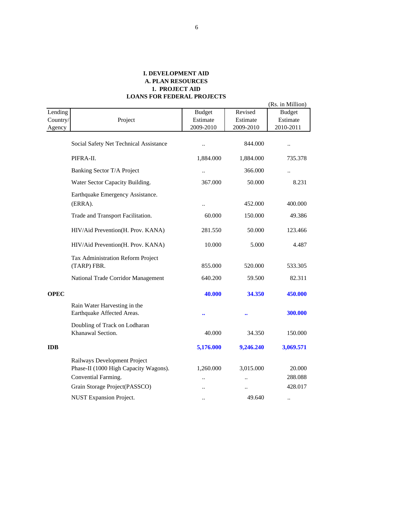|                               |                                                                       |                                        |                                  | (Rs. in Million)                       |
|-------------------------------|-----------------------------------------------------------------------|----------------------------------------|----------------------------------|----------------------------------------|
| Lending<br>Country/<br>Agency | Project                                                               | <b>Budget</b><br>Estimate<br>2009-2010 | Revised<br>Estimate<br>2009-2010 | <b>Budget</b><br>Estimate<br>2010-2011 |
|                               | Social Safety Net Technical Assistance                                | $\ddotsc$                              | 844.000                          | $\ldots$                               |
|                               | PIFRA-II.                                                             | 1,884.000                              | 1,884.000                        | 735.378                                |
|                               | Banking Sector T/A Project                                            | $\ddot{\phantom{a}}$                   | 366.000                          | $\ddot{\phantom{a}}$                   |
|                               | Water Sector Capacity Building.                                       | 367.000                                | 50.000                           | 8.231                                  |
|                               | Earthquake Emergency Assistance.<br>(ERRA).                           |                                        | 452.000                          | 400.000                                |
|                               | Trade and Transport Facilitation.                                     | 60.000                                 | 150.000                          | 49.386                                 |
|                               | HIV/Aid Prevention(H. Prov. KANA)                                     | 281.550                                | 50.000                           | 123.466                                |
|                               | HIV/Aid Prevention(H. Prov. KANA)                                     | 10.000                                 | 5.000                            | 4.487                                  |
|                               | Tax Administration Reform Project<br>(TARP) FBR.                      | 855.000                                | 520.000                          | 533.305                                |
|                               | National Trade Corridor Management                                    | 640.200                                | 59.500                           | 82.311                                 |
| <b>OPEC</b>                   |                                                                       | 40.000                                 | 34.350                           | 450.000                                |
|                               | Rain Water Harvesting in the<br>Earthquake Affected Areas.            |                                        |                                  | 300.000                                |
|                               | Doubling of Track on Lodharan<br>Khanawal Section.                    | 40.000                                 | 34.350                           | 150.000                                |
| <b>IDB</b>                    |                                                                       | 5,176.000                              | 9,246.240                        | 3,069.571                              |
|                               | Railways Development Project<br>Phase-II (1000 High Capacity Wagons). | 1,260.000                              | 3,015.000                        | 20.000                                 |
|                               | Convential Farming.<br>Grain Storage Project(PASSCO)                  |                                        |                                  | 288.088<br>428.017                     |
|                               | <b>NUST Expansion Project.</b>                                        | ٠.                                     | 49.640                           | $\ddotsc$                              |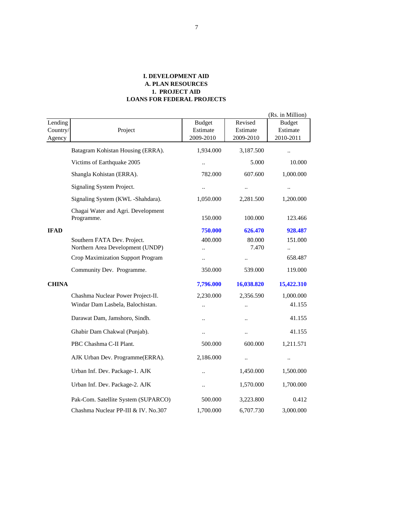|                               |                                                                       |                                        |                                   | (Rs. in Million)                       |
|-------------------------------|-----------------------------------------------------------------------|----------------------------------------|-----------------------------------|----------------------------------------|
| Lending<br>Country/<br>Agency | Project                                                               | <b>Budget</b><br>Estimate<br>2009-2010 | Revised<br>Estimate<br>2009-2010  | <b>Budget</b><br>Estimate<br>2010-2011 |
|                               | Batagram Kohistan Housing (ERRA).                                     | 1,934.000                              | 3,187.500                         | $\ddot{\phantom{a}}$                   |
|                               | Victims of Earthquake 2005                                            | $\ddotsc$                              | 5.000                             | 10.000                                 |
|                               | Shangla Kohistan (ERRA).                                              | 782.000                                | 607.600                           | 1,000.000                              |
|                               | Signaling System Project.                                             | $\ldots$                               | $\ddotsc$                         | $\ldots$                               |
|                               | Signaling System (KWL -Shahdara).                                     | 1,050.000                              | 2,281.500                         | 1,200.000                              |
|                               | Chagai Water and Agri. Development<br>Programme.                      | 150.000                                | 100.000                           | 123.466                                |
| <b>IFAD</b>                   |                                                                       | 750.000                                | 626.470                           | 928.487                                |
|                               | Southern FATA Dev. Project.<br>Northern Area Development (UNDP)       | 400.000<br>$\ddotsc$                   | 80.000<br>7.470                   | 151.000<br>$\ddot{\phantom{a}}$        |
|                               | Crop Maximization Support Program                                     | $\ddot{\phantom{0}}$                   |                                   | 658.487                                |
|                               | Community Dev. Programme.                                             | 350.000                                | 539.000                           | 119.000                                |
| <b>CHINA</b>                  |                                                                       | 7,796.000                              | 16,038.820                        | 15,422.310                             |
|                               | Chashma Nuclear Power Project-II.<br>Windar Dam Lasbela, Balochistan. | 2,230.000<br>$\ddot{\phantom{a}}$      | 2,356.590<br>$\ddot{\phantom{a}}$ | 1,000.000<br>41.155                    |
|                               | Darawat Dam, Jamshoro, Sindh.                                         | $\ldots$                               | $\ldots$                          | 41.155                                 |
|                               | Ghabir Dam Chakwal (Punjab).                                          | $\ddotsc$                              | $\ddotsc$                         | 41.155                                 |
|                               | PBC Chashma C-II Plant.                                               | 500.000                                | 600.000                           | 1,211.571                              |
|                               | AJK Urban Dev. Programme(ERRA).                                       | 2,186.000                              | $\ddotsc$                         | $\ddotsc$                              |
|                               | Urban Inf. Dev. Package-1. AJK                                        | $\ddot{\phantom{0}}$                   | 1,450.000                         | 1,500.000                              |
|                               | Urban Inf. Dev. Package-2. AJK                                        | $\ddot{\phantom{a}}$                   | 1,570.000                         | 1,700.000                              |
|                               | Pak-Com. Satellite System (SUPARCO)                                   | 500.000                                | 3,223.800                         | 0.412                                  |
|                               | Chashma Nuclear PP-III & IV. No.307                                   | 1,700.000                              | 6,707.730                         | 3,000.000                              |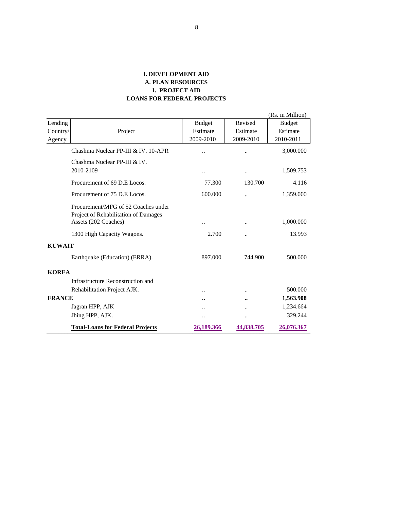|               |                                                                             |                      |                      | (Rs. in Million) |
|---------------|-----------------------------------------------------------------------------|----------------------|----------------------|------------------|
| Lending       |                                                                             | <b>Budget</b>        | Revised              | <b>Budget</b>    |
| Country/      | Project                                                                     | Estimate             | Estimate             | Estimate         |
| Agency        |                                                                             | 2009-2010            | 2009-2010            | 2010-2011        |
|               | Chashma Nuclear PP-III & IV, 10-APR                                         | $\ddot{\phantom{a}}$ | $\ddot{\phantom{a}}$ | 3,000.000        |
|               | Chashma Nuclear PP-III & IV.                                                |                      |                      |                  |
|               | 2010-2109                                                                   |                      | $\ddotsc$            | 1,509.753        |
|               | Procurement of 69 D.E Locos.                                                | 77.300               | 130.700              | 4.116            |
|               | Procurement of 75 D.E Locos.                                                | 600.000              | $\ddot{\phantom{a}}$ | 1,359.000        |
|               | Procurement/MFG of 52 Coaches under<br>Project of Rehabilitation of Damages |                      |                      |                  |
|               | Assets (202 Coaches)                                                        |                      | $\ddot{\phantom{0}}$ | 1,000.000        |
|               | 1300 High Capacity Wagons.                                                  | 2.700                | $\ddot{\phantom{a}}$ | 13.993           |
| <b>KUWAIT</b> |                                                                             |                      |                      |                  |
|               | Earthquake (Education) (ERRA).                                              | 897.000              | 744.900              | 500.000          |
| <b>KOREA</b>  |                                                                             |                      |                      |                  |
|               | Infrastructure Reconstruction and                                           |                      |                      |                  |
|               | Rehabilitation Project AJK.                                                 |                      |                      | 500.000          |
| <b>FRANCE</b> |                                                                             |                      |                      | 1,563.908        |
|               | Jagran HPP, AJK                                                             | $\ddot{\phantom{0}}$ | $\ddot{\phantom{0}}$ | 1,234.664        |
|               | Jhing HPP, AJK.                                                             |                      |                      | 329.244          |
|               | <b>Total-Loans for Federal Projects</b>                                     | 26,189.366           | 44,838.705           | 26,076.367       |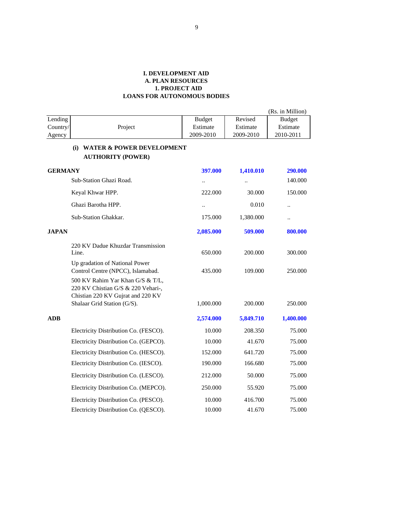|                |                                                                                                                                            |                      |           | (Rs. in Million)     |
|----------------|--------------------------------------------------------------------------------------------------------------------------------------------|----------------------|-----------|----------------------|
| Lending        |                                                                                                                                            | <b>Budget</b>        | Revised   | <b>Budget</b>        |
| Country/       | Project                                                                                                                                    | Estimate             | Estimate  | Estimate             |
| Agency         |                                                                                                                                            | 2009-2010            | 2009-2010 | 2010-2011            |
|                | <b>WATER &amp; POWER DEVELOPMENT</b><br>(i)<br><b>AUTHORITY (POWER)</b>                                                                    |                      |           |                      |
| <b>GERMANY</b> |                                                                                                                                            | 397.000              | 1,410.010 | 290.000              |
|                | Sub-Station Ghazi Road.                                                                                                                    | $\ldots$             | $\ddotsc$ | 140.000              |
|                | Keyal Khwar HPP.                                                                                                                           | 222.000              | 30.000    | 150.000              |
|                | Ghazi Barotha HPP.                                                                                                                         | $\ddot{\phantom{a}}$ | 0.010     | $\ddot{\phantom{a}}$ |
|                | Sub-Station Ghakkar.                                                                                                                       | 175.000              | 1,380.000 | $\ddot{\phantom{a}}$ |
| <b>JAPAN</b>   |                                                                                                                                            | 2,085.000            | 509.000   | 800.000              |
|                | 220 KV Dadue Khuzdar Transmission<br>Line.                                                                                                 | 650.000              | 200.000   | 300.000              |
|                | Up gradation of National Power<br>Control Centre (NPCC), Islamabad.                                                                        | 435.000              | 109.000   | 250.000              |
|                | 500 KV Rahim Yar Khan G/S & T/L,<br>220 KV Chistian G/S & 220 Vehari-,<br>Chistian 220 KV Gujrat and 220 KV<br>Shalaar Grid Station (G/S). | 1,000.000            | 200.000   | 250.000              |
| ADB            |                                                                                                                                            | 2,574.000            | 5,849.710 | 1,400.000            |
|                | Electricity Distribution Co. (FESCO).                                                                                                      | 10.000               | 208.350   | 75.000               |
|                | Electricity Distribution Co. (GEPCO).                                                                                                      | 10.000               | 41.670    | 75.000               |
|                | Electricity Distribution Co. (HESCO).                                                                                                      | 152.000              | 641.720   | 75.000               |
|                | Electricity Distribution Co. (IESCO).                                                                                                      | 190.000              | 166.680   | 75.000               |
|                | Electricity Distribution Co. (LESCO).                                                                                                      | 212.000              | 50.000    | 75.000               |
|                | Electricity Distribution Co. (MEPCO).                                                                                                      | 250.000              | 55.920    | 75.000               |
|                | Electricity Distribution Co. (PESCO).                                                                                                      | 10.000               | 416.700   | 75.000               |
|                | Electricity Distribution Co. (QESCO).                                                                                                      | 10.000               | 41.670    | 75.000               |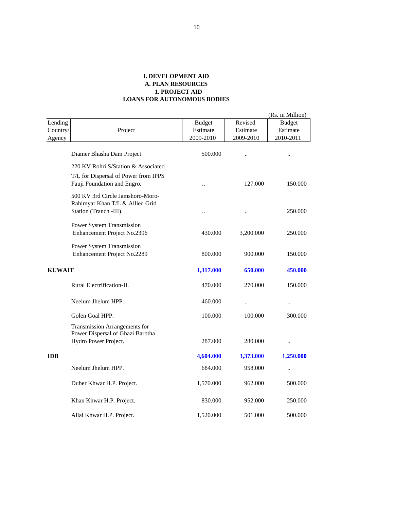|                               |                                                                     |                                        |                                  | (Rs. in Million)                       |
|-------------------------------|---------------------------------------------------------------------|----------------------------------------|----------------------------------|----------------------------------------|
| Lending<br>Country/<br>Agency | Project                                                             | <b>Budget</b><br>Estimate<br>2009-2010 | Revised<br>Estimate<br>2009-2010 | <b>Budget</b><br>Estimate<br>2010-2011 |
|                               |                                                                     |                                        |                                  |                                        |
|                               | Diamer Bhasha Dam Project.                                          | 500.000                                | $\ddot{\phantom{a}}$             | $\ddot{\phantom{a}}$                   |
|                               | 220 KV Rohri S/Station & Associated                                 |                                        |                                  |                                        |
|                               | T/L for Dispersal of Power from IPPS<br>Fauji Foundation and Engro. |                                        | 127.000                          | 150.000                                |
|                               | 500 KV 3rd Circle Jamshoro-Moro-<br>Rahimyar Khan T/L & Allied Grid |                                        |                                  |                                        |
|                               | Station (Tranch -III).                                              | $\ddotsc$                              | $\ddot{\phantom{a}}$             | 250.000                                |
|                               | Power System Transmission<br>Enhancement Project No.2396            | 430.000                                | 3,200.000                        | 250.000                                |
|                               | Power System Transmission<br>Enhancement Project No.2289            | 800.000                                | 900.000                          | 150,000                                |
| <b>KUWAIT</b>                 |                                                                     | 1,317.000                              | 650.000                          | 450.000                                |
|                               | Rural Electrification-II.                                           | 470.000                                | 270.000                          | 150.000                                |
|                               | Neelum Jhelum HPP.                                                  | 460.000                                |                                  | $\ddotsc$                              |
|                               | Golen Goal HPP.                                                     | 100.000                                | 100.000                          | 300.000                                |
|                               | Transmission Arrangements for<br>Power Dispersal of Ghazi Barotha   |                                        |                                  |                                        |
|                               | Hydro Power Project.                                                | 287.000                                | 280.000                          | $\ldots$                               |
| <b>IDB</b>                    |                                                                     | 4,604.000                              | 3,373.000                        | 1,250.000                              |
|                               | Neelum Jhelum HPP.                                                  | 684.000                                | 958.000                          | $\ddotsc$                              |
|                               | Duber Khwar H.P. Project.                                           | 1,570.000                              | 962.000                          | 500.000                                |
|                               | Khan Khwar H.P. Project.                                            | 830.000                                | 952.000                          | 250.000                                |
|                               | Allai Khwar H.P. Project.                                           | 1,520.000                              | 501.000                          | 500.000                                |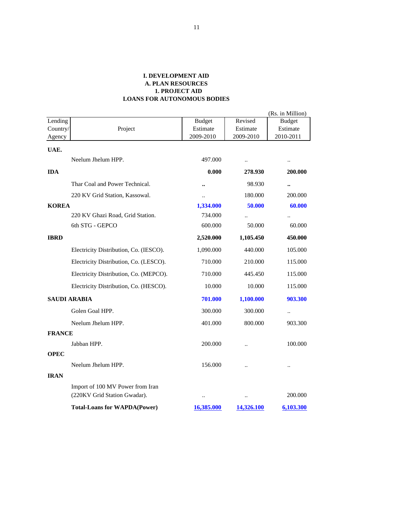|               |                                        |                  |                      | (Rs. in Million)     |
|---------------|----------------------------------------|------------------|----------------------|----------------------|
| Lending       |                                        | <b>Budget</b>    | Revised              | <b>Budget</b>        |
| Country/      | Project                                | Estimate         | Estimate             | Estimate             |
| Agency        |                                        | 2009-2010        | 2009-2010            | 2010-2011            |
| UAE.          |                                        |                  |                      |                      |
|               | Neelum Jhelum HPP.                     | 497.000          | $\ddotsc$            | $\ldots$             |
| <b>IDA</b>    |                                        | 0.000            | 278.930              | 200.000              |
|               | Thar Coal and Power Technical.         | $\bullet\bullet$ | 98.930               | $\bullet\bullet$     |
|               | 220 KV Grid Station, Kassowal.         | $\ddotsc$        | 180.000              | 200.000              |
| <b>KOREA</b>  |                                        | 1,334.000        | 50.000               | 60.000               |
|               | 220 KV Ghazi Road, Grid Station.       | 734.000          |                      |                      |
|               | 6th STG - GEPCO                        | 600.000          | 50.000               | 60.000               |
| <b>IBRD</b>   |                                        | 2,520.000        | 1,105.450            | 450.000              |
|               | Electricity Distribution, Co. (IESCO). | 1,090.000        | 440.000              | 105.000              |
|               | Electricity Distribution, Co. (LESCO). | 710.000          | 210.000              | 115.000              |
|               | Electricity Distribution, Co. (MEPCO). | 710.000          | 445.450              | 115.000              |
|               | Electricity Distribution, Co. (HESCO). | 10.000           | 10.000               | 115.000              |
|               | <b>SAUDI ARABIA</b>                    | 701.000          | 1,100.000            | 903.300              |
|               | Golen Goal HPP.                        | 300.000          | 300.000              | $\ldots$             |
|               | Neelum Jhelum HPP.                     | 401.000          | 800.000              | 903.300              |
| <b>FRANCE</b> |                                        |                  |                      |                      |
|               | Jabban HPP.                            | 200.000          | $\ddot{\phantom{a}}$ | 100.000              |
| <b>OPEC</b>   |                                        |                  |                      |                      |
|               | Neelum Jhelum HPP.                     | 156.000          | $\ddot{\phantom{a}}$ | $\ddot{\phantom{a}}$ |
| <b>IRAN</b>   |                                        |                  |                      |                      |
|               | Import of 100 MV Power from Iran       |                  |                      |                      |
|               | (220KV Grid Station Gwadar).           | $\ddotsc$        | $\ddot{\phantom{0}}$ | 200.000              |
|               | <b>Total-Loans for WAPDA(Power)</b>    | 16,385.000       | 14,326.100           | 6,103.300            |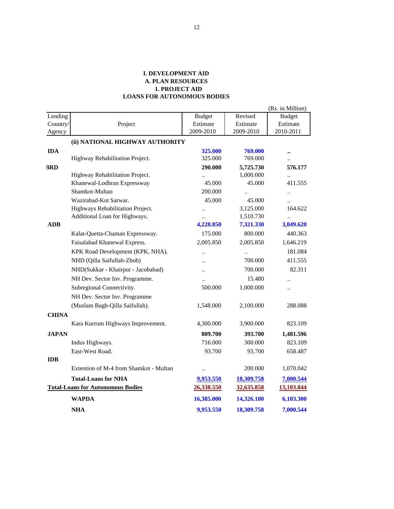|              |                                          |                      |            | (Rs. in Million)     |
|--------------|------------------------------------------|----------------------|------------|----------------------|
| Lending      |                                          | <b>Budget</b>        | Revised    | <b>Budget</b>        |
| Country/     | Project                                  | Estimate             | Estimate   | Estimate             |
| Agency       |                                          | 2009-2010            | 2009-2010  | 2010-2011            |
|              | (ii) NATIONAL HIGHWAY AUTHORITY          |                      |            |                      |
| <b>IDA</b>   |                                          | 325.000              | 769.000    |                      |
|              | Highway Rehabilitation Project.          | 325.000              | 769.000    |                      |
| <b>BRD</b>   |                                          | 290.000              | 5,725.730  | 576.177              |
|              | Highway Rehabilitation Project.          |                      | 1,000.000  | $\ddot{\phantom{a}}$ |
|              | Khanewal-Lodhran Expressway              | 45.000               | 45.000     | 411.555              |
|              | Shamkot-Multan                           | 200.000              |            | $\ddotsc$            |
|              | Wazirabad-Kot Sarwar.                    | 45.000               | 45.000     |                      |
|              | Highways Rehabilitation Project.         | $\ddot{\phantom{a}}$ | 3,125.000  | 164.622              |
|              | Additional Loan for Highways.            |                      | 1,510.730  | $\ddot{\phantom{a}}$ |
| <b>ADB</b>   |                                          | 4,228.850            | 7,321.330  | 3,049.620            |
|              | Kalat-Quetta-Chaman Expressway.          | 175.000              | 800.000    | 440.363              |
|              | Faisalabad Khanewal Express.             | 2,005.850            | 2,005.850  | 1,646.219            |
|              | KPK Road Development (KPK, NHA).         |                      |            | 181.084              |
|              | NHD (Qilla Saifullah-Zhob)               | $\ddot{\phantom{a}}$ | 700.000    | 411.555              |
|              | NHD(Sukkar - Khairpur - Jacobabad)       | $\ddot{\phantom{a}}$ | 700.000    | 82.311               |
|              | NH Dev. Sector Inv. Programme.           | $\ddot{\phantom{a}}$ | 15.480     | $\ddot{\phantom{a}}$ |
|              | Subregional Connectivity.                | 500.000              | 1,000.000  |                      |
|              | NH Dev. Sector Inv. Programme            |                      |            |                      |
|              | (Muslam Bagh-Qilla Saifullah).           | 1,548.000            | 2,100.000  | 288.088              |
| <b>CHINA</b> |                                          |                      |            |                      |
|              | Kara Kurrum Highways Improvement.        | 4,300.000            | 3,900.000  | 823.109              |
| <b>JAPAN</b> |                                          | 809.700              | 393.700    | 1,481.596            |
|              | Indus Highways.                          | 716.000              | 300.000    | 823.109              |
|              | East-West Road.                          | 93.700               | 93.700     | 658.487              |
| <b>IDB</b>   |                                          |                      |            |                      |
|              | Extention of M-4 from Shamkot - Multan   | $\ddot{\phantom{a}}$ | 200.000    | 1,070.042            |
|              | <b>Total-Loans for NHA</b>               | 9,953.550            | 18,309.758 | 7,000.544            |
|              | <b>Total-Loans for Autonomous Bodies</b> | 26,338.550           | 32,635.858 | 13,103.844           |
|              | WAPDA                                    | 16,385.000           | 14,326.100 | 6,103.300            |
|              | <b>NHA</b>                               | 9,953.550            | 18,309.758 | 7,000.544            |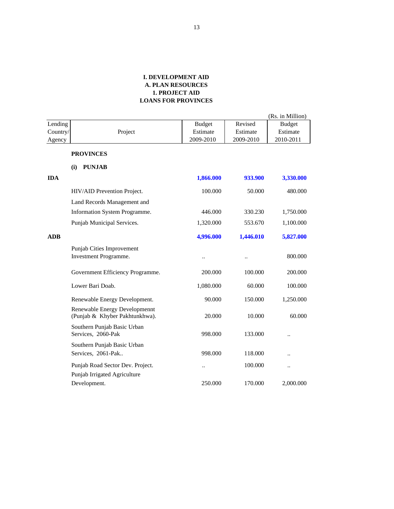|            |                                                                 |               |           | (Rs. in Million)     |
|------------|-----------------------------------------------------------------|---------------|-----------|----------------------|
| Lending    |                                                                 | <b>Budget</b> | Revised   | <b>Budget</b>        |
| Country/   | Project                                                         | Estimate      | Estimate  | Estimate             |
| Agency     |                                                                 | 2009-2010     | 2009-2010 | 2010-2011            |
|            | <b>PROVINCES</b>                                                |               |           |                      |
|            | <b>PUNJAB</b><br>(i)                                            |               |           |                      |
| <b>IDA</b> |                                                                 | 1,866.000     | 933.900   | 3,330.000            |
|            | HIV/AID Prevention Project.                                     | 100.000       | 50.000    | 480.000              |
|            | Land Records Management and                                     |               |           |                      |
|            | Information System Programme.                                   | 446.000       | 330.230   | 1,750.000            |
|            | Punjab Municipal Services.                                      | 1,320.000     | 553.670   | 1,100.000            |
| <b>ADB</b> |                                                                 | 4,996.000     | 1,446.010 | 5,827.000            |
|            | Punjab Cities Improvement                                       |               |           |                      |
|            | Investment Programme.                                           | $\ddotsc$     | $\ddotsc$ | 800.000              |
|            | Government Efficiency Programme.                                | 200.000       | 100.000   | 200.000              |
|            | Lower Bari Doab.                                                | 1,080.000     | 60.000    | 100.000              |
|            | Renewable Energy Development.                                   | 90.000        | 150.000   | 1,250.000            |
|            | Renewable Energy Developmennt<br>(Punjab & Khyber Pakhtunkhwa). | 20.000        | 10.000    | 60.000               |
|            | Southern Punjab Basic Urban<br>Services, 2060-Pak               | 998.000       | 133.000   | $\ddot{\phantom{a}}$ |
|            | Southern Punjab Basic Urban                                     |               |           |                      |
|            | Services, 2061-Pak                                              | 998.000       | 118.000   | $\ddot{\phantom{a}}$ |
|            | Punjab Road Sector Dev. Project.                                | $\ddotsc$     | 100.000   | $\ddotsc$            |
|            | Punjab Irrigated Agriculture                                    |               |           |                      |
|            | Development.                                                    | 250.000       | 170.000   | 2,000.000            |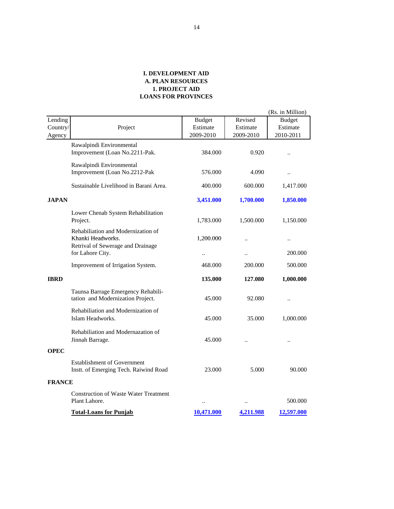|               |                                                                                                                  |                                   |                      | (Rs. in Million)     |
|---------------|------------------------------------------------------------------------------------------------------------------|-----------------------------------|----------------------|----------------------|
| Lending       |                                                                                                                  | <b>Budget</b>                     | Revised              | <b>Budget</b>        |
| Country/      | Project                                                                                                          | Estimate                          | Estimate             | Estimate             |
| Agency        |                                                                                                                  | 2009-2010                         | 2009-2010            | 2010-2011            |
|               | Rawalpindi Environmental<br>Improvement (Loan No.2211-Pak.                                                       | 384.000                           | 0.920                | $\ddot{\phantom{a}}$ |
|               | Rawalpindi Environmental<br>Improvement (Loan No.2212-Pak                                                        | 576.000                           | 4.090                | $\ddot{\phantom{a}}$ |
|               | Sustainable Livelihood in Barani Area.                                                                           | 400.000                           | 600.000              | 1,417.000            |
| <b>JAPAN</b>  |                                                                                                                  | 3,451.000                         | 1,700.000            | 1,850.000            |
|               | Lower Chenab System Rehabilitation<br>Project.                                                                   | 1,783.000                         | 1,500.000            | 1,150.000            |
|               | Rehabiliation and Modernization of<br>Khanki Headworks.<br>Retrival of Sewerage and Drainage<br>for Lahore City. | 1,200.000<br>$\ddot{\phantom{a}}$ | $\ddot{\phantom{a}}$ | 200.000              |
|               | Improvement of Irrigation System.                                                                                | 468.000                           | 200.000              | 500.000              |
| <b>IBRD</b>   |                                                                                                                  | 135.000                           | 127.080              | 1,000.000            |
|               | Taunsa Barrage Emergency Rehabili-<br>tation and Modernization Project.                                          | 45.000                            | 92.080               |                      |
|               | Rehabiliation and Modernization of<br>Islam Headworks.                                                           | 45.000                            | 35.000               | 1,000.000            |
|               | Rehabiliation and Modernazation of<br>Jinnah Barrage.                                                            | 45.000                            |                      |                      |
| OPEC          |                                                                                                                  |                                   |                      |                      |
|               | <b>Establishment of Government</b><br>Instt. of Emerging Tech. Raiwind Road                                      | 23.000                            | 5.000                | 90.000               |
| <b>FRANCE</b> |                                                                                                                  |                                   |                      |                      |
|               | <b>Construction of Waste Water Treatment</b><br>Plant Lahore.                                                    | $\ddotsc$                         | $\ddotsc$            | 500.000              |
|               | <b>Total-Loans for Punjab</b>                                                                                    | 10,471.000                        | 4,211.988            | 12,597.000           |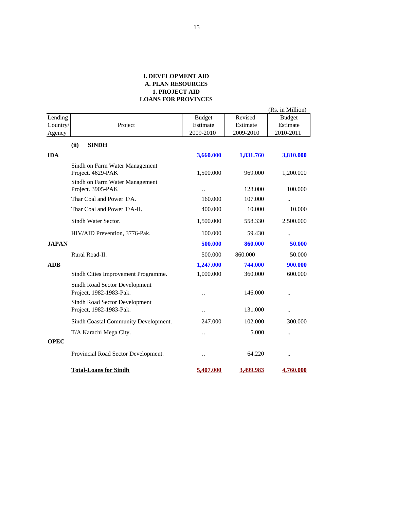|              |                                                          |                      |           | (Rs. in Million) |
|--------------|----------------------------------------------------------|----------------------|-----------|------------------|
| Lending      |                                                          | <b>Budget</b>        | Revised   | <b>Budget</b>    |
| Country/     | Project                                                  | Estimate             | Estimate  | Estimate         |
| Agency       |                                                          | 2009-2010            | 2009-2010 | 2010-2011        |
|              | (ii)<br><b>SINDH</b>                                     |                      |           |                  |
| <b>IDA</b>   |                                                          | 3,660.000            | 1,831.760 | 3,810.000        |
|              | Sindh on Farm Water Management<br>Project. 4629-PAK      | 1,500.000            | 969.000   | 1,200.000        |
|              | Sindh on Farm Water Management<br>Project. 3905-PAK      | $\ddot{\phantom{a}}$ | 128.000   | 100.000          |
|              | Thar Coal and Power T/A.                                 | 160.000              | 107.000   | $\ldots$         |
|              | Thar Coal and Power T/A-II.                              | 400.000              | 10.000    | 10.000           |
|              | Sindh Water Sector.                                      | 1,500.000            | 558.330   | 2,500.000        |
|              | HIV/AID Prevention, 3776-Pak.                            | 100.000              | 59.430    | $\ldots$         |
| <b>JAPAN</b> |                                                          | 500.000              | 860.000   | 50.000           |
|              | Rural Road-II.                                           | 500.000              | 860.000   | 50.000           |
| <b>ADB</b>   |                                                          | 1,247.000            | 744.000   | 900.000          |
|              | Sindh Cities Improvement Programme.                      | 1,000.000            | 360.000   | 600.000          |
|              | Sindh Road Sector Development<br>Project, 1982-1983-Pak. |                      | 146.000   |                  |
|              | Sindh Road Sector Development<br>Project, 1982-1983-Pak. | $\ddotsc$            | 131.000   | $\cdot$ .        |
|              | Sindh Coastal Community Development.                     | 247.000              | 102.000   | 300.000          |
|              | T/A Karachi Mega City.                                   | $\ddot{\phantom{a}}$ | 5.000     | $\ddotsc$        |
| <b>OPEC</b>  |                                                          |                      |           |                  |
|              | Provincial Road Sector Development.                      | $\ddotsc$            | 64.220    | $\ddotsc$        |
|              | <b>Total-Loans for Sindh</b>                             | 5,407.000            | 3,499.983 | 4,760.000        |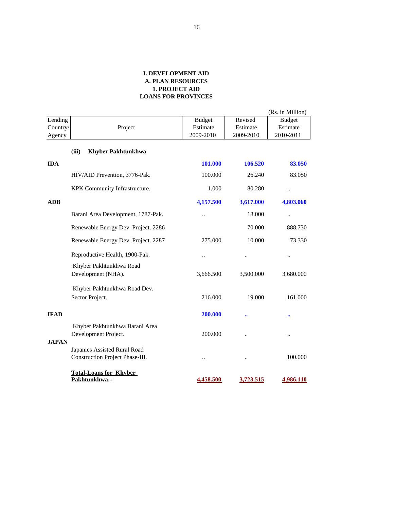|              |                                                                 |                      |                  | (Rs. in Million)     |
|--------------|-----------------------------------------------------------------|----------------------|------------------|----------------------|
| Lending      |                                                                 | <b>Budget</b>        | Revised          | <b>Budget</b>        |
| Country/     | Project                                                         | Estimate             | Estimate         | Estimate             |
| Agency       |                                                                 | 2009-2010            | 2009-2010        | 2010-2011            |
|              | (iii)<br><b>Khyber Pakhtunkhwa</b>                              |                      |                  |                      |
| <b>IDA</b>   |                                                                 | 101.000              | 106.520          | 83.050               |
|              | HIV/AID Prevention, 3776-Pak.                                   | 100.000              | 26.240           | 83.050               |
|              | KPK Community Infrastructure.                                   | 1.000                | 80.280           | $\ddot{\phantom{a}}$ |
| <b>ADB</b>   |                                                                 | 4,157.500            | 3,617.000        | 4,803.060            |
|              | Barani Area Development, 1787-Pak.                              | $\ddot{\phantom{a}}$ | 18.000           | $\ddotsc$            |
|              | Renewable Energy Dev. Project. 2286                             |                      | 70.000           | 888.730              |
|              | Renewable Energy Dev. Project. 2287                             | 275.000              | 10.000           | 73.330               |
|              | Reproductive Health, 1900-Pak.                                  | $\ddot{\phantom{0}}$ |                  |                      |
|              | Khyber Pakhtunkhwa Road                                         |                      |                  |                      |
|              | Development (NHA).                                              | 3,666.500            | 3,500.000        | 3,680.000            |
|              | Khyber Pakhtunkhwa Road Dev.                                    |                      |                  |                      |
|              | Sector Project.                                                 | 216.000              | 19.000           | 161.000              |
| <b>IFAD</b>  |                                                                 | 200.000              | $\bullet\bullet$ | $\bullet \bullet$    |
| <b>JAPAN</b> | Khyber Pakhtunkhwa Barani Area<br>Development Project.          | 200.000              |                  | $\ddot{\phantom{0}}$ |
|              | Japanies Assisted Rural Road<br>Construction Project Phase-III. | $\ddot{\phantom{a}}$ |                  | 100.000              |
|              | <b>Total-Loans for Khyber</b><br>Pakhtunkhwa:-                  | 4,458.500            | 3,723.515        | 4,986.110            |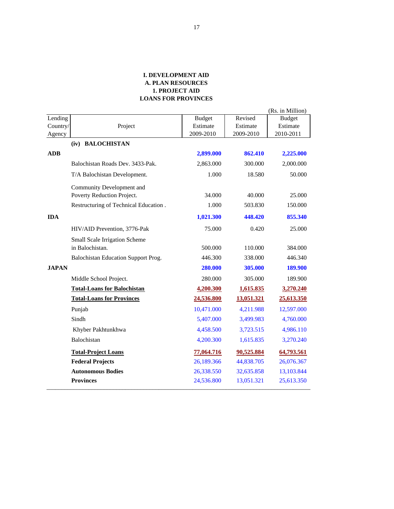|              |                                       |               |            | (Rs. in Million) |
|--------------|---------------------------------------|---------------|------------|------------------|
| Lending      |                                       | <b>Budget</b> | Revised    | <b>Budget</b>    |
| Country/     | Project                               | Estimate      | Estimate   | Estimate         |
| Agency       |                                       | 2009-2010     | 2009-2010  | 2010-2011        |
|              | (iv) BALOCHISTAN                      |               |            |                  |
| <b>ADB</b>   |                                       | 2,899.000     | 862.410    | 2,225.000        |
|              | Balochistan Roads Dev. 3433-Pak.      | 2,863.000     | 300.000    | 2,000.000        |
|              | T/A Balochistan Development.          | 1.000         | 18.580     | 50.000           |
|              | Community Development and             |               |            |                  |
|              | Poverty Reduction Project.            | 34.000        | 40.000     | 25.000           |
|              | Restructuring of Technical Education. | 1.000         | 503.830    | 150.000          |
| <b>IDA</b>   |                                       | 1,021.300     | 448.420    | 855.340          |
|              | HIV/AID Prevention, 3776-Pak          | 75.000        | 0.420      | 25.000           |
|              | Small Scale Irrigation Scheme         |               |            |                  |
|              | in Balochistan.                       | 500.000       | 110.000    | 384.000          |
|              | Balochistan Education Support Prog.   | 446.300       | 338.000    | 446.340          |
| <b>JAPAN</b> |                                       | 280.000       | 305.000    | 189.900          |
|              | Middle School Project.                | 280.000       | 305.000    | 189.900          |
|              | <b>Total-Loans for Balochistan</b>    | 4,200.300     | 1,615.835  | 3,270.240        |
|              | <b>Total-Loans for Provinces</b>      | 24,536.800    | 13,051.321 | 25,613.350       |
|              | Punjab                                | 10,471.000    | 4,211.988  | 12,597.000       |
|              | Sindh                                 | 5,407.000     | 3,499.983  | 4,760.000        |
|              | Khyber Pakhtunkhwa                    | 4,458.500     | 3,723.515  | 4,986.110        |
|              | Balochistan                           | 4,200.300     | 1,615.835  | 3,270.240        |
|              | <b>Total-Project Loans</b>            | 77,064.716    | 90,525.884 | 64,793.561       |
|              | <b>Federal Projects</b>               | 26,189.366    | 44,838.705 | 26,076.367       |
|              | <b>Autonomous Bodies</b>              | 26,338.550    | 32,635.858 | 13,103.844       |
|              | <b>Provinces</b>                      | 24,536.800    | 13,051.321 | 25,613.350       |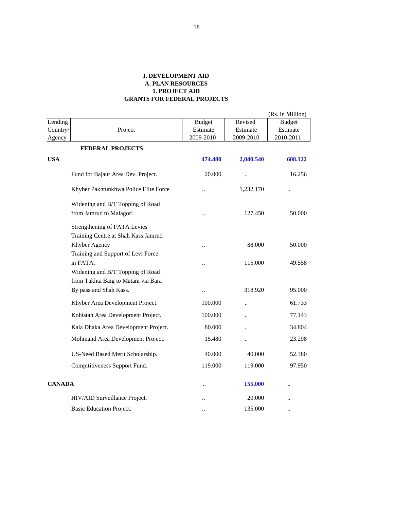|                     |                                                                     |                           |                      | (Rs. in Million)          |
|---------------------|---------------------------------------------------------------------|---------------------------|----------------------|---------------------------|
| Lending<br>Country/ | Project                                                             | <b>Budget</b><br>Estimate | Revised<br>Estimate  | <b>Budget</b><br>Estimate |
| Agency              |                                                                     | 2009-2010                 | 2009-2010            | 2010-2011                 |
|                     | <b>FEDERAL PROJECTS</b>                                             |                           |                      |                           |
| <b>USA</b>          |                                                                     | 474.480                   | 2,040.540            | 608.122                   |
|                     | Fund for Bajaur Area Dev. Project.                                  | 20.000                    | $\ddot{\phantom{0}}$ | 16.256                    |
|                     | Khyber Pakhtunkhwa Police Elite Force                               |                           | 1,232.170            |                           |
|                     | Widening and B/T Topping of Road                                    |                           |                      |                           |
|                     | from Jamrud to Malagori                                             |                           | 127.450              | 50.000                    |
|                     | Strengthening of FATA Levies<br>Training Centre at Shah Kass Jamrud |                           |                      |                           |
|                     | Khyber Agency                                                       |                           | 88.000               | 50.000                    |
|                     | Training and Support of Levi Force                                  |                           |                      |                           |
|                     | in FATA.<br>Widening and B/T Topping of Road                        |                           | 115.000              | 49.558                    |
|                     | from Takhta Baig to Matani via Bara                                 |                           |                      |                           |
|                     | By pass and Shah Kass.                                              | $\cdot$ .                 | 318.920              | 95.000                    |
|                     | Khyber Area Development Project.                                    | 100.000                   | $\ddot{\phantom{a}}$ | 61.733                    |
|                     | Kohistan Area Development Project.                                  | 100.000                   | $\ddot{\phantom{a}}$ | 77.143                    |
|                     | Kala Dhaka Area Development Project.                                | 80.000                    | $\ddot{\phantom{a}}$ | 34.804                    |
|                     | Mohmand Area Development Project.                                   | 15.480                    | $\ddot{\phantom{0}}$ | 23.298                    |
|                     | US-Need Based Merit Scholarship.                                    | 40.000                    | 40.000               | 52.380                    |
|                     | Compititiveness Support Fund.                                       | 119.000                   | 119.000              | 97.950                    |
| <b>CANADA</b>       |                                                                     |                           | 155.000              |                           |
|                     | HIV/AID Surveillance Project.                                       |                           | 20.000               |                           |
|                     | <b>Basic Education Project.</b>                                     |                           | 135.000              |                           |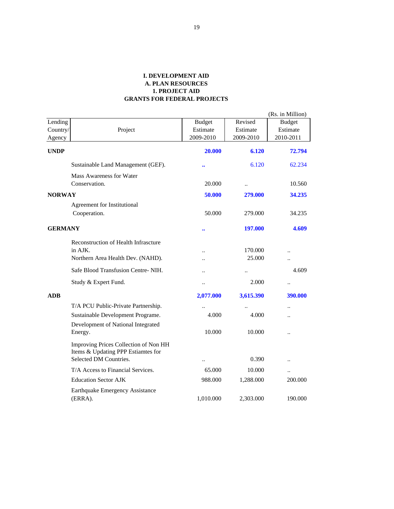|                     |                                                                             |                           |                      | (Rs. in Million)          |
|---------------------|-----------------------------------------------------------------------------|---------------------------|----------------------|---------------------------|
| Lending<br>Country/ | Project                                                                     | <b>Budget</b><br>Estimate | Revised<br>Estimate  | <b>Budget</b><br>Estimate |
| Agency              |                                                                             | 2009-2010                 | 2009-2010            | 2010-2011                 |
| <b>UNDP</b>         |                                                                             | 20.000                    | 6.120                | 72.794                    |
|                     | Sustainable Land Management (GEF).                                          | $\bullet \bullet$         | 6.120                | 62.234                    |
|                     | Mass Awareness for Water<br>Conservation.                                   | 20.000                    | $\ddot{\phantom{a}}$ | 10.560                    |
| <b>NORWAY</b>       |                                                                             | 50.000                    | 279.000              | 34.235                    |
|                     | <b>Agreement for Institutional</b>                                          |                           |                      |                           |
|                     | Cooperation.                                                                | 50.000                    | 279.000              | 34.235                    |
| <b>GERMANY</b>      |                                                                             |                           | 197.000              | 4.609                     |
|                     | Reconstruction of Health Infrascture                                        |                           |                      |                           |
|                     | in AJK.                                                                     | $\ddot{\phantom{a}}$      | 170.000              |                           |
|                     | Northern Area Health Dev. (NAHD).                                           | $\ddot{\phantom{a}}$      | 25.000               | $\ddot{\phantom{a}}$      |
|                     | Safe Blood Transfusion Centre-NIH.                                          | $\ddotsc$                 |                      | 4.609                     |
|                     | Study & Expert Fund.                                                        | $\ddot{\phantom{0}}$      | 2.000                |                           |
| <b>ADB</b>          |                                                                             | 2,077.000                 | 3,615.390            | 390.000                   |
|                     | T/A PCU Public-Private Partnership.                                         |                           |                      | $\ddot{\phantom{a}}$      |
|                     | Sustainable Development Programe.                                           | 4.000                     | 4.000                |                           |
|                     | Development of National Integrated<br>Energy.                               | 10.000                    | 10.000               | $\ddot{\phantom{a}}$      |
|                     | Improving Prices Collection of Non HH<br>Items & Updating PPP Estiamtes for |                           |                      |                           |
|                     | Selected DM Countries.                                                      |                           | 0.390                |                           |
|                     | T/A Access to Financial Services.                                           | 65.000                    | 10.000               | $\ddot{\phantom{0}}$      |
|                     | <b>Education Sector AJK</b>                                                 | 988.000                   | 1,288.000            | 200.000                   |
|                     | Earthquake Emergency Assistance<br>(ERRA).                                  | 1,010.000                 | 2,303.000            | 190.000                   |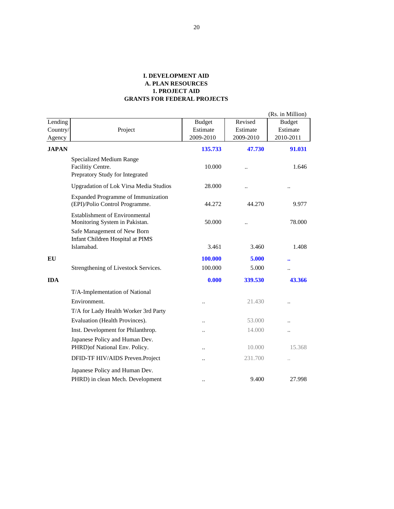|              |                                                                                  |                      |                      | (Rs. in Million)      |
|--------------|----------------------------------------------------------------------------------|----------------------|----------------------|-----------------------|
| Lending      |                                                                                  | <b>Budget</b>        | Revised              | <b>Budget</b>         |
| Country/     | Project                                                                          | Estimate             | Estimate             | Estimate              |
| Agency       |                                                                                  | 2009-2010            | 2009-2010            | 2010-2011             |
| <b>JAPAN</b> |                                                                                  | 135.733              | 47.730               | 91.031                |
|              | Specialized Medium Range<br>Facilitiy Centre.<br>Prepratory Study for Integrated | 10.000               |                      | 1.646                 |
|              | <b>Upgradation of Lok Virsa Media Studios</b>                                    | 28.000               | $\ddot{\phantom{a}}$ | $\ddotsc$             |
|              | <b>Expanded Programme of Immunization</b><br>(EPI)/Polio Control Programme.      | 44.272               | 44.270               | 9.977                 |
|              | <b>Establishment of Environmental</b><br>Monitoring System in Pakistan.          | 50.000               |                      | 78.000                |
|              | Safe Management of New Born<br>Infant Children Hospital at PIMS<br>Islamabad.    | 3.461                | 3.460                | 1.408                 |
| EU           |                                                                                  | 100.000              | 5.000                |                       |
|              | Strengthening of Livestock Services.                                             | 100.000              | 5.000                | $\bullet \bullet$<br> |
| <b>IDA</b>   |                                                                                  | 0.000                | 339.530              | 43.366                |
|              | T/A-Implementation of National                                                   |                      |                      |                       |
|              | Environment.                                                                     | $\bullet$            | 21.430               | $\circ$               |
|              | T/A for Lady Health Worker 3rd Party                                             |                      |                      |                       |
|              | Evaluation (Health Provinces).                                                   | $\bullet$            | 53.000               |                       |
|              | Inst. Development for Philanthrop.                                               | $\bullet$            | 14.000               | $\bullet$             |
|              | Japanese Policy and Human Dev.<br>PHRD) of National Env. Policy.                 | $\ddot{\phantom{0}}$ | 10.000               | 15.368                |
|              | DFID-TF HIV/AIDS Preven.Project                                                  |                      | 231.700              |                       |
|              | Japanese Policy and Human Dev.                                                   |                      |                      |                       |
|              | PHRD) in clean Mech. Development                                                 |                      | 9.400                | 27.998                |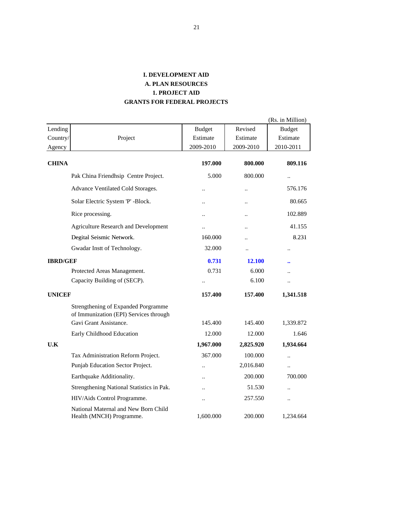|                 |                                                                               |                      |                      | (Rs. in Million)     |
|-----------------|-------------------------------------------------------------------------------|----------------------|----------------------|----------------------|
| Lending         |                                                                               | <b>Budget</b>        | Revised              | <b>Budget</b>        |
| Country/        | Project                                                                       | Estimate             | Estimate             | Estimate             |
| Agency          |                                                                               | 2009-2010            | 2009-2010            | 2010-2011            |
| <b>CHINA</b>    |                                                                               | 197.000              | 800.000              | 809.116              |
|                 | Pak China Friendhsip Centre Project.                                          | 5.000                | 800.000              | $\ddotsc$            |
|                 | Advance Ventilated Cold Storages.                                             | $\ddotsc$            |                      | 576.176              |
|                 | Solar Electric System 'P' -Block.                                             | $\ddot{\phantom{a}}$ |                      | 80.665               |
|                 | Rice processing.                                                              | $\ddot{\phantom{a}}$ | $\ddot{\phantom{0}}$ | 102.889              |
|                 | <b>Agriculture Research and Development</b>                                   | $\ddot{\phantom{a}}$ | $\ddot{\phantom{a}}$ | 41.155               |
|                 | Degital Seismic Network.                                                      | 160.000              |                      | 8.231                |
|                 | Gwadar Instt of Technology.                                                   | 32.000               | $\ddot{\phantom{a}}$ |                      |
| <b>IBRD/GEF</b> |                                                                               | 0.731                | 12.100               |                      |
|                 | Protected Areas Management.                                                   | 0.731                | 6.000                |                      |
|                 | Capacity Building of (SECP).                                                  |                      | 6.100                | $\ddot{\phantom{a}}$ |
| <b>UNICEF</b>   |                                                                               | 157.400              | 157.400              | 1,341.518            |
|                 | Strengthening of Expanded Porgramme<br>of Immunization (EPI) Services through |                      |                      |                      |
|                 | Gavi Grant Assistance.                                                        | 145.400              | 145.400              | 1,339.872            |
|                 | Early Childhood Education                                                     | 12.000               | 12.000               | 1.646                |
| U.K             |                                                                               | 1,967.000            | 2,825.920            | 1,934.664            |
|                 | Tax Administration Reform Project.                                            | 367.000              | 100.000              | $\ddot{\phantom{0}}$ |
|                 | Punjab Education Sector Project.                                              | $\ddot{\phantom{a}}$ | 2,016.840            | $\ddotsc$            |
|                 | Earthquake Additionality.                                                     | $\ddotsc$            | 200.000              | 700.000              |
|                 | Strengthening National Statistics in Pak.                                     | $\ddot{\phantom{0}}$ | 51.530               | $\ddot{\phantom{a}}$ |
|                 | HIV/Aids Control Programme.                                                   | $\ddot{\phantom{a}}$ | 257.550              | $\ddot{\phantom{a}}$ |
|                 | National Maternal and New Born Child<br>Health (MNCH) Programme.              | 1,600.000            | 200.000              | 1,234.664            |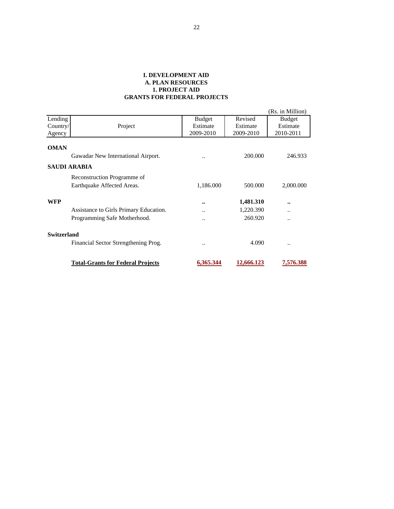|             |                                                           |                  |            | (Rs. in Million) |  |
|-------------|-----------------------------------------------------------|------------------|------------|------------------|--|
| Lending     |                                                           | <b>Budget</b>    | Revised    | <b>Budget</b>    |  |
| Country/    | Project                                                   | Estimate         | Estimate   | Estimate         |  |
| Agency      |                                                           | 2009-2010        | 2009-2010  | 2010-2011        |  |
| <b>OMAN</b> |                                                           |                  |            |                  |  |
|             | Gawadar New International Airport.                        |                  | 200,000    | 246.933          |  |
|             | <b>SAUDI ARABIA</b>                                       |                  |            |                  |  |
|             | Reconstruction Programme of<br>Earthquake Affected Areas. | 1,186.000        | 500,000    | 2,000.000        |  |
| <b>WFP</b>  |                                                           | $\bullet\bullet$ | 1,481.310  |                  |  |
|             | Assistance to Girls Primary Education.                    |                  | 1,220.390  |                  |  |
|             | Programming Safe Motherhood.                              |                  | 260.920    |                  |  |
| Switzerland |                                                           |                  |            |                  |  |
|             | Financial Sector Strengthening Prog.                      |                  | 4.090      |                  |  |
|             | <b>Total-Grants for Federal Projects</b>                  | 6,365.344        | 12,666.123 | 7,576.388        |  |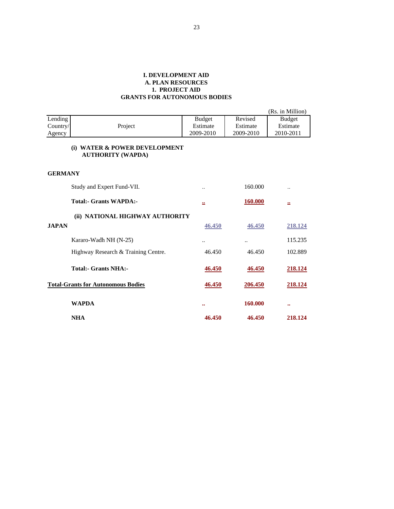#### **I. DEVELOPMENT AID A. PLAN RESOURCES 1. PROJECT AID GRANTS FOR AUTONOMOUS BODIES**

|                |                                                           |                      |                | (Rs. in Million)     |
|----------------|-----------------------------------------------------------|----------------------|----------------|----------------------|
| Lending        |                                                           | <b>Budget</b>        | Revised        | <b>Budget</b>        |
| Country/       | Project                                                   | Estimate             | Estimate       | Estimate             |
| Agency         |                                                           | 2009-2010            | 2009-2010      | 2010-2011            |
|                | (i) WATER & POWER DEVELOPMENT<br><b>AUTHORITY (WAPDA)</b> |                      |                |                      |
| <b>GERMANY</b> |                                                           |                      |                |                      |
|                | Study and Expert Fund-VII.                                | $\ddot{\phantom{0}}$ | 160.000        | $\ddot{\phantom{0}}$ |
|                | <b>Total:- Grants WAPDA:-</b>                             | 覀                    | <b>160.000</b> | 亝                    |
|                | (ii) NATIONAL HIGHWAY AUTHORITY                           |                      |                |                      |
| <b>JAPAN</b>   |                                                           | 46.450               | 46.450         | 218.124              |
|                | Kararo-Wadh NH (N-25)                                     | $\ddotsc$            | $\cdot$ .      | 115.235              |
|                | Highway Research & Training Centre.                       | 46.450               | 46.450         | 102.889              |
|                | <b>Total:- Grants NHA:-</b>                               | 46.450               | 46.450         | <u>218.124</u>       |
|                | <b>Total-Grants for Autonomous Bodies</b>                 | 46.450               | 206.450        | 218.124              |
|                | <b>WAPDA</b>                                              | $\bullet \bullet$    | 160.000        | $\bullet\bullet$     |
|                | <b>NHA</b>                                                | 46.450               | 46.450         | 218.124              |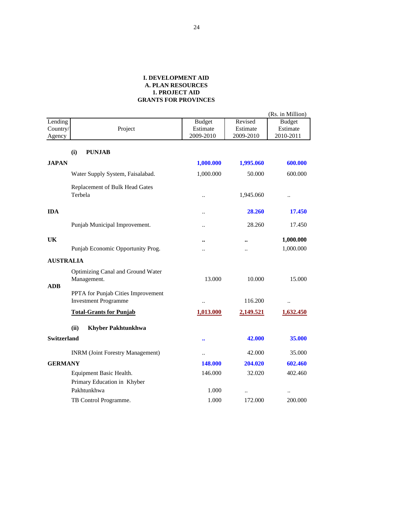|                    |                                                                   |                      |           | (Rs. in Million)     |
|--------------------|-------------------------------------------------------------------|----------------------|-----------|----------------------|
| Lending            |                                                                   | <b>Budget</b>        | Revised   | <b>Budget</b>        |
| Country/           | Project                                                           | Estimate             | Estimate  | Estimate             |
| Agency             |                                                                   | 2009-2010            | 2009-2010 | 2010-2011            |
|                    | (i)<br><b>PUNJAB</b>                                              |                      |           |                      |
| <b>JAPAN</b>       |                                                                   | 1,000.000            | 1,995.060 | 600.000              |
|                    | Water Supply System, Faisalabad.                                  | 1,000.000            | 50.000    | 600.000              |
|                    | Replacement of Bulk Head Gates<br>Terbela                         | $\ddot{\phantom{a}}$ | 1,945.060 | $\ddot{\phantom{a}}$ |
| <b>IDA</b>         |                                                                   | $\ddot{\phantom{0}}$ | 28.260    | 17.450               |
|                    | Punjab Municipal Improvement.                                     |                      | 28.260    | 17.450               |
| UK                 |                                                                   | $\ddot{\phantom{a}}$ |           | 1,000.000            |
|                    | Punjab Economic Opportunity Prog.                                 |                      |           | 1,000.000            |
| <b>AUSTRALIA</b>   |                                                                   |                      |           |                      |
| <b>ADB</b>         | Optimizing Canal and Ground Water<br>Management.                  | 13.000               | 10.000    | 15.000               |
|                    | PPTA for Punjab Cities Improvement<br><b>Investment Programme</b> |                      | 116.200   | $\ddot{\phantom{0}}$ |
|                    | <b>Total-Grants for Punjab</b>                                    | 1,013.000            | 2,149.521 | 1,632.450            |
|                    | (ii)<br><b>Khyber Pakhtunkhwa</b>                                 |                      |           |                      |
| <b>Switzerland</b> |                                                                   | $\bullet\bullet$     | 42.000    | 35.000               |
|                    | <b>INRM</b> (Joint Forestry Management)                           | $\ddot{\phantom{a}}$ | 42.000    | 35.000               |
| <b>GERMANY</b>     |                                                                   | 148.000              | 204.020   | 602.460              |
|                    | Equipment Basic Health.<br>Primary Education in Khyber            | 146.000              | 32.020    | 402.460              |
|                    | Pakhtunkhwa                                                       | 1.000                |           |                      |
|                    | TB Control Programme.                                             | 1.000                | 172.000   | 200.000              |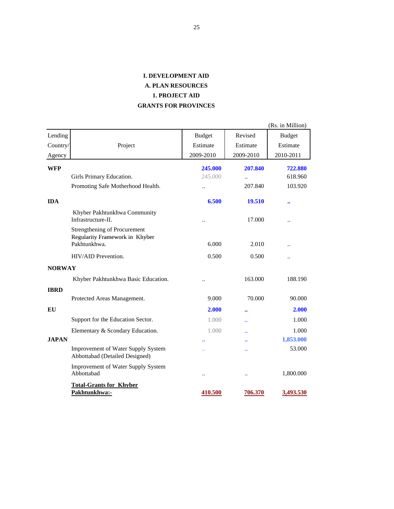|               |                                                                                |                      |                      | (Rs. in Million)     |
|---------------|--------------------------------------------------------------------------------|----------------------|----------------------|----------------------|
| Lending       |                                                                                | <b>Budget</b>        | Revised              | <b>Budget</b>        |
| Country/      | Project                                                                        | Estimate             | Estimate             | Estimate             |
| Agency        |                                                                                | 2009-2010            | 2009-2010            | 2010-2011            |
| <b>WFP</b>    |                                                                                | 245.000              | 207.840              | 722.880              |
|               | Girls Primary Education.                                                       | 245.000              | $\ddot{\phantom{a}}$ | 618.960              |
|               | Promoting Safe Motherhood Health.                                              | $\ddot{\phantom{a}}$ | 207.840              | 103.920              |
| <b>IDA</b>    |                                                                                | 6.500                | 19.510               |                      |
|               | Khyber Pakhtunkhwa Community<br>Infrastructure-II.                             |                      | 17.000               |                      |
|               | Strengthening of Procurement<br>Regularity Framework in Khyber<br>Pakhtunkhwa. | 6.000                | 2.010                |                      |
|               | HIV/AID Prevention.                                                            | 0.500                | 0.500                | $\ddot{\phantom{a}}$ |
| <b>NORWAY</b> |                                                                                |                      |                      |                      |
|               | Khyber Pakhtunkhwa Basic Education.                                            |                      | 163.000              | 188.190              |
| <b>IBRD</b>   |                                                                                |                      |                      |                      |
|               | Protected Areas Management.                                                    | 9.000                | 70.000               | 90.000               |
| EU            |                                                                                | 2.000                |                      | 2.000                |
|               | Support for the Education Sector.                                              | 1.000                |                      | 1.000                |
|               | Elementary & Scondary Education.                                               | 1.000                | $\ddot{\phantom{a}}$ | 1.000                |
| <b>JAPAN</b>  |                                                                                |                      |                      | 1,853.000            |
|               | <b>Improvement of Water Supply System</b><br>Abbottabad (Detailed Designed)    | $\ddot{\phantom{a}}$ |                      | 53.000               |
|               | <b>Improvement of Water Supply System</b><br>Abbottabad                        |                      |                      | 1,800.000            |
|               | <b>Total-Grants for Khyber</b><br>Pakhtunkhwa:-                                | 410.500              | 706.370              | <u>3,493.530</u>     |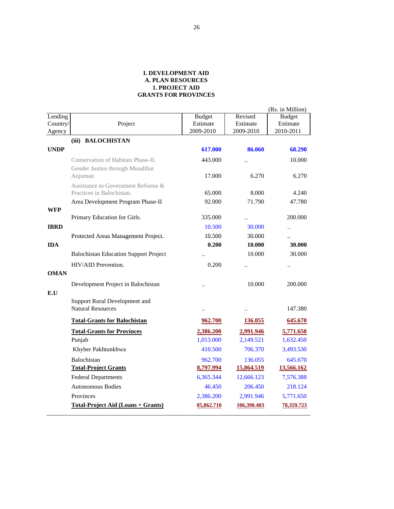|             |                                              |                      |                      | (Rs. in Million)     |
|-------------|----------------------------------------------|----------------------|----------------------|----------------------|
| Lending     |                                              | <b>Budget</b>        | Revised              | <b>Budget</b>        |
| Country/    | Project                                      | Estimate             | Estimate             | Estimate             |
| Agency      |                                              | 2009-2010            | 2009-2010            | 2010-2011            |
|             | (iii) BALOCHISTAN                            |                      |                      |                      |
| <b>UNDP</b> |                                              | 617.000              | 86.060               | 68.290               |
|             | Conservation of Habitats Phase-II.           | 443.000              | $\ddot{\phantom{0}}$ | 10.000               |
|             | Gender Justice through Musalihat<br>Anjuman  | 17.000               | 6.270                | 6.270                |
|             | Assistance to Government Reforms &           |                      |                      |                      |
|             | Practices in Balochistan.                    | 65.000               | 8.000                | 4.240                |
|             | Area Development Program Phase-II            | 92.000               | 71.790               | 47.780               |
| WFP         |                                              |                      |                      |                      |
|             | Primary Education for Girls.                 | 335.000              | $\ddot{\phantom{0}}$ | 200.000              |
| <b>IBRD</b> |                                              | 10.500               | 30.000               | Ω.                   |
|             | Protected Areas Management Project.          | 10.500               | 30.000               | $\ddot{\phantom{a}}$ |
| <b>IDA</b>  |                                              | 0.200                | 10.000               | 30.000               |
|             | <b>Balochistan Education Support Project</b> |                      | 10.000               | 30.000               |
|             | HIV/AID Prevention.                          | 0.200                |                      |                      |
| <b>OMAN</b> |                                              |                      |                      |                      |
|             | Development Project in Balochistan           | $\ddot{\phantom{a}}$ | 10.000               | 200.000              |
| E.U         |                                              |                      |                      |                      |
|             | Support Rural Development and                |                      |                      |                      |
|             | <b>Natural Resources</b>                     | $\ddot{\phantom{a}}$ | $\ddot{\phantom{a}}$ | 147.380              |
|             | <b>Total-Grants for Balochistan</b>          | 962.700              | 136.055              | 645.670              |
|             | <b>Total-Grants for Provinces</b>            | 2,386.200            | 2,991.946            | 5,771.650            |
|             | Punjab                                       | 1,013.000            | 2,149.521            | 1,632.450            |
|             | Khyber Pakhtunkhwa                           | 410.500              | 706.370              | 3,493.530            |
|             | Balochistan                                  | 962.700              | 136.055              | 645.670              |
|             | <b>Total-Project Grants</b>                  | 8,797.994            | 15,864.519           | 13,566.162           |
|             | <b>Federal Departments</b>                   | 6,365.344            | 12,666.123           | 7,576.388            |
|             | <b>Autonomous Bodies</b>                     | 46.450               | 206.450              | 218.124              |
|             | Provinces                                    | 2,386.200            | 2,991.946            | 5,771.650            |
|             | <b>Total-Project Aid (Loans + Grants)</b>    | 85,862.710           | 106,390.403          | 78,359.723           |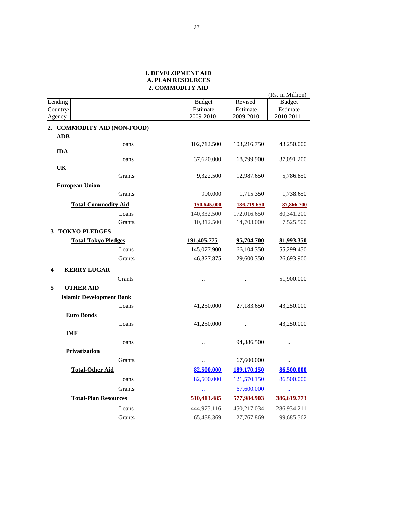#### **I. DEVELOPMENT AID 2. COMMODITY AID A. PLAN RESOURCES**

|   |                                    |                      |                      | (Rs. in Million)     |
|---|------------------------------------|----------------------|----------------------|----------------------|
|   | Lending                            | <b>Budget</b>        | Revised              | <b>Budget</b>        |
|   | Country/                           | Estimate             | Estimate             | Estimate             |
|   | Agency                             | 2009-2010            | 2009-2010            | 2010-2011            |
|   | 2. COMMODITY AID (NON-FOOD)<br>ADB |                      |                      |                      |
|   | Loans                              | 102,712.500          | 103,216.750          | 43,250.000           |
|   | <b>IDA</b><br>Loans                | 37,620.000           | 68,799.900           | 37,091.200           |
|   | UK<br>Grants                       | 9,322.500            | 12,987.650           | 5,786.850            |
|   | <b>European Union</b>              |                      |                      |                      |
|   | Grants                             | 990.000              | 1,715.350            | 1,738.650            |
|   | <b>Total-Commodity Aid</b>         | 150,645.000          | 186,719.650          | 87,866.700           |
|   | Loans                              | 140,332.500          | 172,016.650          | 80,341.200           |
|   | Grants                             | 10,312.500           | 14,703.000           | 7,525.500            |
| 3 | <b>TOKYO PLEDGES</b>               |                      |                      |                      |
|   | <b>Total-Tokyo Pledges</b>         | 191,405.775          | 95,704.700           | 81,993.350           |
|   | Loans                              | 145,077.900          | 66,104.350           | 55,299.450           |
|   | Grants                             | 46,327.875           | 29,600.350           | 26,693.900           |
| 4 | <b>KERRY LUGAR</b>                 |                      |                      |                      |
|   | Grants                             | $\ddot{\phantom{a}}$ | $\ddot{\phantom{a}}$ | 51,900.000           |
| 5 | <b>OTHER AID</b>                   |                      |                      |                      |
|   | <b>Islamic Development Bank</b>    |                      |                      |                      |
|   | Loans                              | 41,250.000           | 27,183.650           | 43,250.000           |
|   | <b>Euro Bonds</b>                  |                      |                      |                      |
|   | Loans                              | 41,250.000           | $\ddot{\phantom{a}}$ | 43,250.000           |
|   | <b>IMF</b>                         |                      |                      |                      |
|   | Loans                              | $\ddot{\phantom{a}}$ | 94,386.500           | $\ddotsc$            |
|   | <b>Privatization</b>               |                      |                      |                      |
|   | Grants                             |                      | 67,600.000           | $\ddot{\phantom{a}}$ |
|   | <b>Total-Other Aid</b>             | 82,500.000           | 189,170.150          | 86,500.000           |
|   | Loans                              | 82,500.000           | 121,570.150          | 86,500.000           |
|   | Grants                             | $\ddotsc$            | 67,600.000           |                      |
|   | <b>Total-Plan Resources</b>        | 510,413.485          | 577,984.903          | 386,619.773          |
|   | Loans                              | 444,975.116          | 450,217.034          | 286,934.211          |
|   | Grants                             | 65,438.369           | 127,767.869          | 99,685.562           |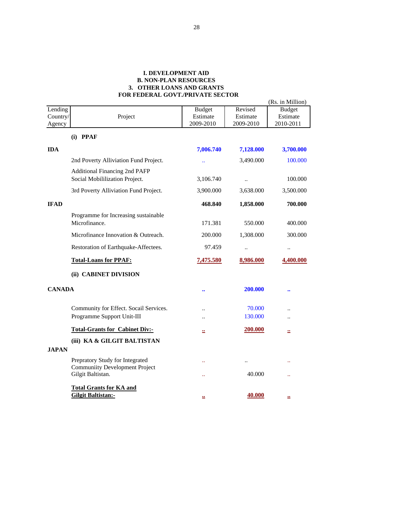#### **I. DEVELOPMENT AID B. NON-PLAN RESOURCES 3. OTHER LOANS AND GRANTS FOR FEDERAL GOVT./PRIVATE SECTOR**

|               |                                                                        |               |           | (Rs. in Million) |
|---------------|------------------------------------------------------------------------|---------------|-----------|------------------|
| Lending       |                                                                        | <b>Budget</b> | Revised   | <b>Budget</b>    |
| Country/      | Project                                                                | Estimate      | Estimate  | Estimate         |
| Agency        |                                                                        | 2009-2010     | 2009-2010 | 2010-2011        |
|               | $(i)$ PPAF                                                             |               |           |                  |
| <b>IDA</b>    |                                                                        | 7,006.740     | 7,128.000 | 3,700.000        |
|               | 2nd Poverty Alliviation Fund Project.                                  |               | 3,490.000 | 100.000          |
|               | <b>Additional Financing 2nd PAFP</b><br>Social Mobililization Project. | 3,106.740     |           | 100.000          |
|               | 3rd Poverty Alliviation Fund Project.                                  | 3,900.000     | 3,638.000 | 3,500.000        |
| <b>IFAD</b>   |                                                                        | 468.840       | 1,858.000 | 700.000          |
|               | Programme for Increasing sustainable                                   |               |           |                  |
|               | Microfinance.                                                          | 171.381       | 550.000   | 400.000          |
|               | Microfinance Innovation & Outreach.                                    | 200.000       | 1,308.000 | 300.000          |
|               | Restoration of Earthquake-Affectees.                                   | 97.459        | $\ldots$  | $\ldots$         |
|               | <b>Total-Loans for PPAF:</b>                                           | 7,475.580     | 8,986.000 | 4,400.000        |
|               | (ii) CABINET DIVISION                                                  |               |           |                  |
| <b>CANADA</b> |                                                                        |               | 200.000   |                  |
|               | Community for Effect. Socail Services.                                 |               | 70.000    |                  |
|               | Programme Support Unit-III                                             |               | 130.000   |                  |
|               | <b>Total-Grants for Cabinet Div:-</b>                                  | 亗             | 200.000   | 亗                |
|               | (iii) KA & GILGIT BALTISTAN                                            |               |           |                  |
| <b>JAPAN</b>  |                                                                        |               |           |                  |
|               | Prepratory Study for Integrated                                        |               |           |                  |
|               | <b>Communiity Development Project</b><br>Gilgit Baltistan.             |               | 40.000    |                  |
|               | <b>Total Grants for KA and</b>                                         |               |           |                  |
|               | Gilgit Baltistan:-                                                     | $\cdot$       | 40.000    | ≝                |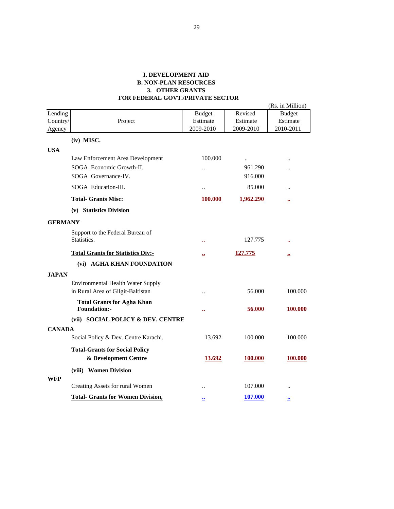#### **I. DEVELOPMENT AID B. NON-PLAN RESOURCES 3. OTHER GRANTS FOR FEDERAL GOVT./PRIVATE SECTOR**

|                    |                                                          |                           | Revised               | (Rs. in Million)      |
|--------------------|----------------------------------------------------------|---------------------------|-----------------------|-----------------------|
| Lending            |                                                          | <b>Budget</b><br>Estimate |                       | <b>Budget</b>         |
| Country/<br>Agency | Project                                                  | 2009-2010                 | Estimate<br>2009-2010 | Estimate<br>2010-2011 |
|                    |                                                          |                           |                       |                       |
|                    | (iv) MISC.                                               |                           |                       |                       |
| <b>USA</b>         |                                                          |                           |                       |                       |
|                    | Law Enforcement Area Development                         | 100.000                   | $\ddotsc$             | $\ddot{\phantom{a}}$  |
|                    | SOGA Economic Growth-II.                                 | $\ddot{\phantom{a}}$      | 961.290               |                       |
|                    | SOGA Governance-IV.                                      |                           | 916.000               |                       |
|                    | SOGA Education-III.                                      | $\ddot{\phantom{a}}$      | 85.000                | $\ddot{\phantom{a}}$  |
|                    | <b>Total- Grants Misc:</b>                               | 100.000                   | 1,962.290             | 竺                     |
|                    | (v) Statistics Division                                  |                           |                       |                       |
| <b>GERMANY</b>     |                                                          |                           |                       |                       |
|                    | Support to the Federal Bureau of                         |                           |                       |                       |
|                    | Statistics.                                              | $\ddotsc$                 | 127.775               |                       |
|                    | <b>Total Grants for Statistics Div:-</b>                 | 22                        | 127.775               | 蘁                     |
|                    | (vi) AGHA KHAN FOUNDATION                                |                           |                       |                       |
| <b>JAPAN</b>       |                                                          |                           |                       |                       |
|                    | <b>Environmental Health Water Supply</b>                 |                           |                       |                       |
|                    | in Rural Area of Gilgit-Baltistan                        |                           | 56,000                | 100.000               |
|                    |                                                          | $\ddot{\phantom{a}}$      |                       |                       |
|                    | <b>Total Grants for Agha Khan</b><br><b>Foundation:-</b> |                           | 56.000                | 100.000               |
|                    | (vii) SOCIAL POLICY & DEV. CENTRE                        |                           |                       |                       |
| <b>CANADA</b>      |                                                          |                           |                       |                       |
|                    | Social Policy & Dev. Centre Karachi.                     | 13.692                    | 100.000               | 100.000               |
|                    | <b>Total-Grants for Social Policy</b>                    |                           |                       |                       |
|                    | & Development Centre                                     | 13.692                    | 100.000               | 100.000               |
|                    |                                                          |                           |                       |                       |
|                    | (viii) Women Division                                    |                           |                       |                       |
| WFP                | Creating Assets for rural Women                          |                           | 107.000               |                       |
|                    | <b>Total- Grants for Women Division,</b>                 | $\bullet$                 | <u>107.000</u>        | $\bullet$             |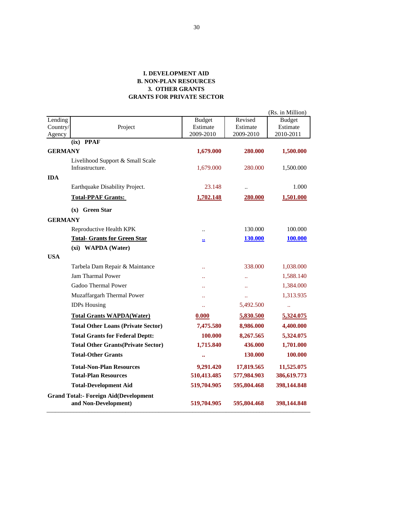#### **I. DEVELOPMENT AID B. NON-PLAN RESOURCES 3. OTHER GRANTS GRANTS FOR PRIVATE SECTOR**

|                |                                                     |                      |                | (Rs. in Million) |
|----------------|-----------------------------------------------------|----------------------|----------------|------------------|
| Lending        |                                                     | <b>Budget</b>        | Revised        | <b>Budget</b>    |
| Country/       | Project                                             | Estimate             | Estimate       | Estimate         |
| Agency         |                                                     | 2009-2010            | 2009-2010      | 2010-2011        |
|                | $(ix)$ PPAF                                         |                      |                |                  |
| <b>GERMANY</b> |                                                     | 1,679.000            | 280.000        | 1,500.000        |
|                | Livelihood Support & Small Scale<br>Infrastructure. | 1,679.000            | 280.000        | 1,500.000        |
| <b>IDA</b>     |                                                     |                      |                |                  |
|                | Earthquake Disability Project.                      | 23.148               | $\ddotsc$      | 1.000            |
|                | <b>Total-PPAF Grants:</b>                           | 1,702.148            | 280.000        | 1,501.000        |
|                | $(x)$ Green Star                                    |                      |                |                  |
| <b>GERMANY</b> |                                                     |                      |                |                  |
|                | Reproductive Health KPK                             | $\ddot{\phantom{0}}$ | 130.000        | 100.000          |
|                | <b>Total- Grants for Green Star</b>                 | $\mathbf{r}$         | <b>130.000</b> | <b>100.000</b>   |
|                | (xi) WAPDA (Water)                                  |                      |                |                  |
| <b>USA</b>     |                                                     |                      |                |                  |
|                | Tarbela Dam Repair & Maintance                      | $\ddotsc$            | 338.000        | 1,038.000        |
|                | <b>Jam Tharmal Power</b>                            |                      | $\ddotsc$      | 1,588.140        |
|                | Gadoo Thermal Power                                 | ÷.                   | $\ddotsc$      | 1,384.000        |
|                | Muzaffargarh Thermal Power                          | ÷.                   | ¥.             | 1,313.935        |
|                | <b>IDPs Housing</b>                                 | v.                   | 5,492.500      | $\ddotsc$        |
|                | <b>Total Grants WAPDA(Water)</b>                    | 0.000                | 5,830.500      | 5,324.075        |
|                | <b>Total Other Loans (Private Sector)</b>           | 7,475.580            | 8,986.000      | 4,400.000        |
|                | <b>Total Grants for Federal Deptt:</b>              | 100.000              | 8,267.565      | 5,324.075        |
|                | <b>Total Other Grants (Private Sector)</b>          | 1,715.840            | 436.000        | 1,701.000        |
|                | <b>Total-Other Grants</b>                           | $\ddot{\phantom{a}}$ | 130.000        | 100.000          |
|                | <b>Total-Non-Plan Resources</b>                     | 9,291.420            | 17,819.565     | 11,525.075       |
|                | <b>Total-Plan Resources</b>                         | 510,413.485          | 577,984.903    | 386,619.773      |
|                | <b>Total-Development Aid</b>                        | 519,704.905          | 595,804.468    | 398,144.848      |
|                | <b>Grand Total:- Foreign Aid(Development</b>        |                      |                |                  |
|                | and Non-Development)                                | 519,704.905          | 595,804.468    | 398,144.848      |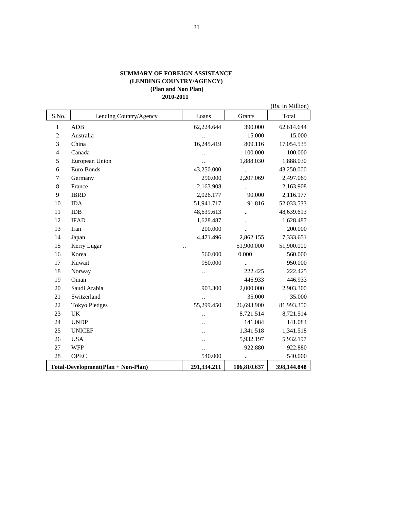#### **SUMMARY OF FOREIGN ASSISTANCE (LENDING COUNTRY/AGENCY) (Plan and Non Plan) 2010-2011**

|                |                                    |                      |                      | (Rs. in Million) |
|----------------|------------------------------------|----------------------|----------------------|------------------|
| S.No.          | Lending Country/Agency             | Loans                | Grants               | Total            |
| $\mathbf{1}$   | <b>ADB</b>                         | 62,224.644           | 390.000              | 62,614.644       |
| $\overline{c}$ | Australia                          | $\ddot{\phantom{0}}$ | 15.000               | 15.000           |
| 3              | China                              | 16,245.419           | 809.116              | 17,054.535       |
| $\overline{4}$ | Canada                             |                      | 100.000              | 100.000          |
| 5              | European Union                     | $\ddot{\phantom{a}}$ | 1,888.030            | 1,888.030        |
| 6              | Euro Bonds                         | 43,250.000           | $\ddot{\phantom{a}}$ | 43,250.000       |
| 7              | Germany                            | 290.000              | 2,207.069            | 2,497.069        |
| 8              | France                             | 2,163.908            | $\ddot{\phantom{0}}$ | 2,163.908        |
| 9              | <b>IBRD</b>                        | 2,026.177            | 90.000               | 2,116.177        |
| 10             | <b>IDA</b>                         | 51,941.717           | 91.816               | 52,033.533       |
| 11             | <b>IDB</b>                         | 48,639.613           | $\ddot{\phantom{0}}$ | 48,639.613       |
| 12             | <b>IFAD</b>                        | 1,628.487            |                      | 1,628.487        |
| 13             | Iran                               | 200.000              |                      | 200.000          |
| 14             | Japan                              | 4,471.496            | 2,862.155            | 7,333.651        |
| 15             | Kerry Lugar                        |                      | 51,900.000           | 51,900.000       |
| 16             | Korea                              | 560.000              | 0.000                | 560.000          |
| 17             | Kuwait                             | 950.000              | $\ddot{\phantom{a}}$ | 950.000          |
| 18             | Norway                             | $\ddotsc$            | 222.425              | 222.425          |
| 19             | Oman                               |                      | 446.933              | 446.933          |
| 20             | Saudi Arabia                       | 903.300              | 2,000.000            | 2,903.300        |
| 21             | Switzerland                        | $\ddot{\phantom{a}}$ | 35.000               | 35.000           |
| 22             | <b>Tokyo Pledges</b>               | 55,299.450           | 26,693.900           | 81,993.350       |
| 23             | UK                                 |                      | 8,721.514            | 8,721.514        |
| 24             | <b>UNDP</b>                        |                      | 141.084              | 141.084          |
| 25             | <b>UNICEF</b>                      | $\ddot{\phantom{0}}$ | 1,341.518            | 1,341.518        |
| 26             | <b>USA</b>                         |                      | 5,932.197            | 5,932.197        |
| 27             | <b>WFP</b>                         |                      | 922.880              | 922.880          |
| 28             | <b>OPEC</b>                        | 540.000              |                      | 540.000          |
|                | Total-Development(Plan + Non-Plan) | 291,334.211          | 106,810.637          | 398,144.848      |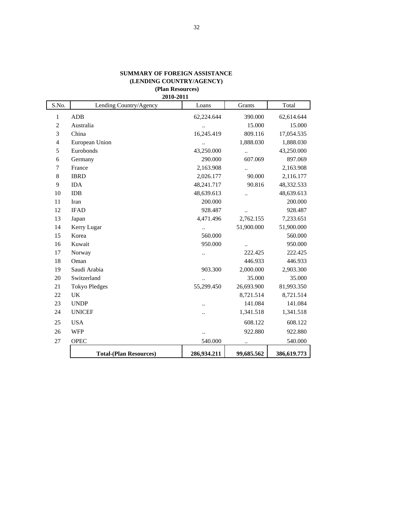#### **SUMMARY OF FOREIGN ASSISTANCE (LENDING COUNTRY/AGENCY)**

#### **(Plan Resources) 2010-2011**

| S.No.          | 2010-2011<br>Lending Country/Agency | Loans                | Grants               | Total       |
|----------------|-------------------------------------|----------------------|----------------------|-------------|
| 1              | <b>ADB</b>                          | 62,224.644           | 390.000              | 62,614.644  |
| $\overline{c}$ | Australia                           | $\ddot{\phantom{0}}$ | 15.000               | 15.000      |
| 3              | China                               | 16,245.419           | 809.116              | 17,054.535  |
| $\overline{4}$ | European Union                      |                      | 1,888.030            | 1,888.030   |
| 5              | Eurobonds                           | 43,250.000           | $\ddot{\phantom{a}}$ | 43,250.000  |
| 6              | Germany                             | 290.000              | 607.069              | 897.069     |
| 7              | France                              | 2,163.908            |                      | 2,163.908   |
| 8              | <b>IBRD</b>                         | 2,026.177            | 90.000               | 2,116.177   |
| 9              | <b>IDA</b>                          | 48,241.717           | 90.816               | 48,332.533  |
| 10             | <b>IDB</b>                          | 48,639.613           |                      | 48,639.613  |
| 11             | Iran                                | 200.000              |                      | 200.000     |
| 12             | <b>IFAD</b>                         | 928.487              |                      | 928.487     |
| 13             | Japan                               | 4,471.496            | 2,762.155            | 7,233.651   |
| 14             | Kerry Lugar                         | $\ddot{\phantom{a}}$ | 51,900.000           | 51,900.000  |
| 15             | Korea                               | 560.000              |                      | 560.000     |
| 16             | Kuwait                              | 950.000              | $\ldots$             | 950.000     |
| 17             | Norway                              | $\cdot$ .            | 222.425              | 222.425     |
| 18             | Oman                                |                      | 446.933              | 446.933     |
| 19             | Saudi Arabia                        | 903.300              | 2,000.000            | 2,903.300   |
| 20             | Switzerland                         | $\ddotsc$            | 35.000               | 35.000      |
| 21             | <b>Tokyo Pledges</b>                | 55,299.450           | 26,693.900           | 81,993.350  |
| 22             | UK                                  |                      | 8,721.514            | 8,721.514   |
| 23             | <b>UNDP</b>                         |                      | 141.084              | 141.084     |
| 24             | <b>UNICEF</b>                       |                      | 1,341.518            | 1,341.518   |
| 25             | <b>USA</b>                          |                      | 608.122              | 608.122     |
| 26             | <b>WFP</b>                          |                      | 922.880              | 922.880     |
| 27             | <b>OPEC</b>                         | 540.000              |                      | 540.000     |
|                | <b>Total-(Plan Resources)</b>       | 286,934.211          | 99,685.562           | 386,619.773 |